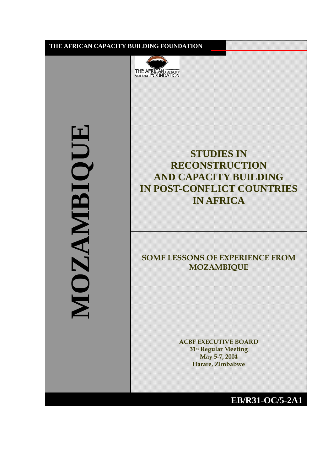۱



**MOZAMBIQUE** HIDDIBIONNY

**STUDIES IN RECONSTRUCTION AND CAPACITY BUILDING IN POST-CONFLICT COUNTRIES IN AFRICA**

# **SOME LESSONS OF EXPERIENCE FROM MOZAMBIQUE**

**ACBF EXECUTIVE BOARD 31st Regular Meeting May 5-7, 2004 Harare, Zimbabwe**

**EB/R31-OC/5-2A1**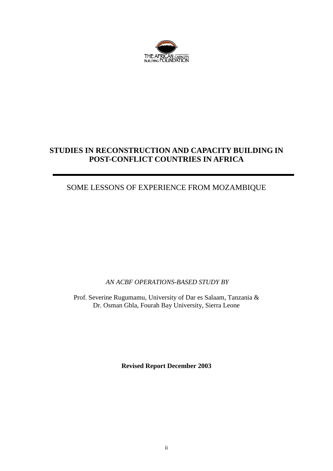

# **STUDIES IN RECONSTRUCTION AND CAPACITY BUILDING IN POST-CONFLICT COUNTRIES IN AFRICA**

# SOME LESSONS OF EXPERIENCE FROM MOZAMBIQUE

*AN ACBF OPERATIONS-BASED STUDY BY*

Prof. Severine Rugumamu, University of Dar es Salaam, Tanzania & Dr. Osman Gbla, Fourah Bay University, Sierra Leone

**Revised Report December 2003**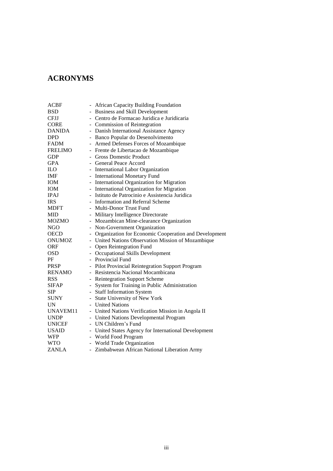# **ACRONYMS**

| ACBF           |                          | - African Capacity Building Foundation                |
|----------------|--------------------------|-------------------------------------------------------|
| <b>BSD</b>     | $\overline{\phantom{0}}$ | <b>Business and Skill Development</b>                 |
| <b>CFJJ</b>    |                          | - Centro de Formacao Juridica e Juridicaria           |
| <b>CORE</b>    |                          | - Commission of Reintegration                         |
| <b>DANIDA</b>  | $\blacksquare$           | Danish International Assistance Agency                |
| <b>DPD</b>     |                          | Banco Popular do Desenolvimento                       |
| <b>FADM</b>    |                          | Armed Defenses Forces of Mozambique                   |
| <b>FRELIMO</b> |                          | - Frente de Libertacao de Mozambique                  |
| <b>GDP</b>     |                          | <b>Gross Domestic Product</b>                         |
| <b>GPA</b>     |                          | - General Peace Accord                                |
| ILO.           |                          | International Labor Organization                      |
| <b>IMF</b>     |                          | - International Monetary Fund                         |
| IOM            |                          | - International Organization for Migration            |
| <b>IOM</b>     | $\sim$                   | International Organization for Migration              |
| <b>IPAJ</b>    |                          | Istituto de Patrocinio e Assistencia Juridica         |
| <b>IRS</b>     |                          | Information and Referral Scheme                       |
| <b>MDFT</b>    |                          | <b>Multi-Donor Trust Fund</b>                         |
| <b>MID</b>     |                          | - Military Intelligence Directorate                   |
| <b>MOZMO</b>   |                          | Mozambican Mine-clearance Organization                |
| <b>NGO</b>     |                          | Non-Government Organization                           |
| <b>OECD</b>    |                          | Organization for Economic Cooperation and Development |
| <b>ONUMOZ</b>  |                          | United Nations Observation Mission of Mozambique      |
| <b>ORF</b>     | $\overline{\phantom{a}}$ | Open Reintegration Fund                               |
| OSD            | $\blacksquare$           | Occupational Skills Development                       |
| PF             |                          | Provincial Fund                                       |
| <b>PRSP</b>    |                          | Pilot Provincial Reintegration Support Program        |
| RENAMO         |                          | Resistencia Nacional Mocambicana                      |
| <b>RSS</b>     |                          | <b>Reintegration Support Scheme</b>                   |
| <b>SIFAP</b>   |                          | System for Training in Public Administration          |
| SIP            |                          | - Staff Information System                            |
| <b>SUNY</b>    |                          | State University of New York                          |
| UN             |                          | - United Nations                                      |
| UNAVEM11       |                          | - United Nations Verification Mission in Angola II    |
| <b>UNDP</b>    |                          | - United Nations Developmental Program                |
| <b>UNICEF</b>  |                          | UN Children's Fund                                    |
| <b>USAID</b>   |                          | United States Agency for International Development    |
| <b>WFP</b>     |                          | World Food Program                                    |
| <b>WTO</b>     |                          | - World Trade Organization                            |
| <b>ZANLA</b>   |                          | - Zimbabwean African National Liberation Army         |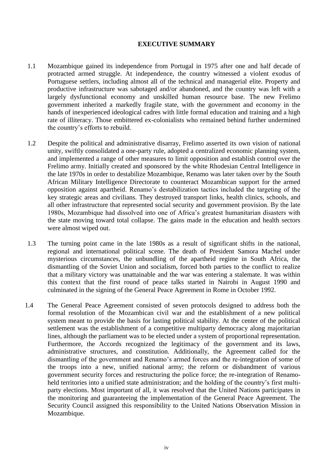## **EXECUTIVE SUMMARY**

- 1.1 Mozambique gained its independence from Portugal in 1975 after one and half decade of protracted armed struggle. At independence, the country witnessed a violent exodus of Portuguese settlers, including almost all of the technical and managerial elite. Property and productive infrastructure was sabotaged and/or abandoned, and the country was left with a largely dysfunctional economy and unskilled human resource base. The new Frelimo government inherited a markedly fragile state, with the government and economy in the hands of inexperienced ideological cadres with little formal education and training and a high rate of illiteracy. Those embittered ex-colonialists who remained behind further undermined the country's efforts to rebuild.
- 1.2 Despite the political and administrative disarray, Frelimo asserted its own vision of national unity, swiftly consolidated a one-party rule, adopted a centralized economic planning system, and implemented a range of other measures to limit opposition and establish control over the Frelimo army. Initially created and sponsored by the white Rhodesian Central Intelligence in the late 1970s in order to destabilize Mozambique, Renamo was later taken over by the South African Military Intelligence Directorate to counteract Mozambican support for the armed opposition against apartheid. Renamo's destabilization tactics included the targeting of the key strategic areas and civilians. They destroyed transport links, health clinics, schools, and all other infrastructure that represented social security and government provision. By the late 1980s, Mozambique had dissolved into one of Africa's greatest humanitarian disasters with the state moving toward total collapse. The gains made in the education and health sectors were almost wiped out.
- 1.3 The turning point came in the late 1980s as a result of significant shifts in the national, regional and international political scene. The death of President Samora Machel under mysterious circumstances, the unbundling of the apartheid regime in South Africa, the dismantling of the Soviet Union and socialism, forced both parties to the conflict to realize that a military victory was unattainable and the war was entering a stalemate. It was within this context that the first round of peace talks started in Nairobi in August 1990 and culminated in the signing of the General Peace Agreement in Rome in October 1992.
- 1.4 The General Peace Agreement consisted of seven protocols designed to address both the formal resolution of the Mozambican civil war and the establishment of a new political system meant to provide the basis for lasting political stability. At the center of the political settlement was the establishment of a competitive multiparty democracy along majoritarian lines, although the parliament was to be elected under a system of proportional representation. Furthermore, the Accords recognized the legitimacy of the government and its laws, administrative structures, and constitution. Additionally, the Agreement called for the dismantling of the government and Renamo's armed forces and the re-integration of some of the troops into a new, unified national army; the reform or disbandment of various government security forces and restructuring the police force; the re-integration of Renamoheld territories into a unified state administration; and the holding of the country's first multiparty elections. Most important of all, it was resolved that the United Nations participates in the monitoring and guaranteeing the implementation of the General Peace Agreement. The Security Council assigned this responsibility to the United Nations Observation Mission in Mozambique.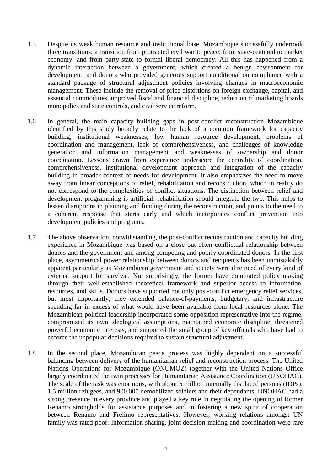- 1.5 Despite its weak human resource and institutional base, Mozambique successfully undertook three transitions: a transition from protracted civil war to peace; from state-centered to market economy; and from party-state to formal liberal democracy. All this has happened from a dynamic interaction between a government, which created a benign environment for development, and donors who provided generous support conditional on compliance with a standard package of structural adjustment policies involving changes in macroeconomic management. These include the removal of price distortions on foreign exchange, capital, and essential commodities, improved fiscal and financial discipline, reduction of marketing boards monopolies and state controls, and civil service reform.
- 1.6 In general, the main capacity building gaps in post-conflict reconstruction Mozambique identified by this study broadly relate to the lack of a common framework for capacity building, institutional weaknesses, low human resource development, problems of coordination and management, lack of comprehensiveness, and challenges of knowledge generation and information management and weaknesses of ownership and donor coordination. Lessons drawn from experience underscore the centrality of coordination, comprehensiveness, institutional development approach and integration of the capacity building in broader context of needs for development. It also emphasizes the need to move away from linear conceptions of relief, rehabilitation and reconstruction, which in reality do not correspond to the complexities of conflict situations. The distinction between relief and development programming is artificial: rehabilitation should integrate the two. This helps to lessen disruptions in planning and funding during the reconstruction, and points to the need to a coherent response that starts early and which incorporates conflict prevention into development policies and programs.
- 1.7 The above observation, notwithstanding, the post-conflict reconstruction and capacity building experience in Mozambique was based on a close but often conflictual relationship between donors and the government and among competing and poorly coordinated donors. In the first place, asymmetrical power relationship between donors and recipients has been unmistakably apparent particularly as Mozambican government and society were dire need of every kind of external support for survival. Not surprisingly, the former have dominated policy making through their well-established theoretical framework and superior access to information, resources, and skills. Donors have supported not only post-conflict emergency relief services, but most importantly, they extended balance-of-payments, budgetary, and infrastructure spending far in excess of what would have been available from local resources alone. The Mozambican political leadership incorporated some opposition representative into the regime, compromised its own ideological assumptions, maintained economic discipline, threatened powerful economic interests, and supported the small group of key officials who have had to enforce the unpopular decisions required to sustain structural adjustment.
- 1.8 In the second place, Mozambican peace process was highly dependent on a successful balancing between delivery of the humanitarian relief and reconstruction process. The United Nations Operations for Mozambique (ONUMOZ) together with the United Nations Office largely coordinated the twin processes for Humanitarian Assistance Coordination (UNOHAC). The scale of the task was enormous, with about 5 million internally displaced persons (IDPs), 1.5 million refugees, and 900,000 demobilized soldiers and their dependants. UNOHAC had a strong presence in every province and played a key role in negotiating the opening of former Renamo strongholds for assistance purposes and in fostering a new spirit of cooperation between Renamo and Frelimo representatives. However, working relations amongst UN family was rated poor. Information sharing, joint decision-making and coordination were rare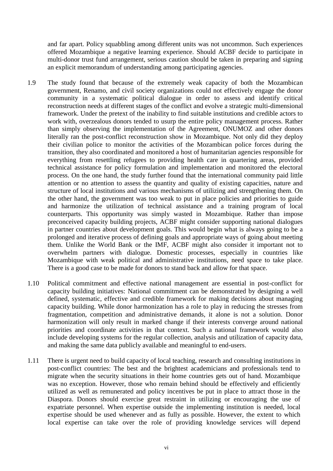and far apart. Policy squabbling among different units was not uncommon. Such experiences offered Mozambique a negative learning experience. Should ACBF decide to participate in multi-donor trust fund arrangement, serious caution should be taken in preparing and signing an explicit memorandum of understanding among participating agencies.

- 1.9 The study found that because of the extremely weak capacity of both the Mozambican government, Renamo, and civil society organizations could not effectively engage the donor community in a systematic political dialogue in order to assess and identify critical reconstruction needs at different stages of the conflict and evolve a strategic multi-dimensional framework. Under the pretext of the inability to find suitable institutions and credible actors to work with, overzealous donors tended to usurp the entire policy management process. Rather than simply observing the implementation of the Agreement, ONUMOZ and other donors literally ran the post-conflict reconstruction show in Mozambique. Not only did they deploy their civilian police to monitor the activities of the Mozambican police forces during the transition, they also coordinated and monitored a host of humanitarian agencies responsible for everything from resettling refugees to providing health care in quartering areas, provided technical assistance for policy formulation and implementation and monitored the electoral process. On the one hand, the study further found that the international community paid little attention or no attention to assess the quantity and quality of existing capacities, nature and structure of local institutions and various mechanisms of utilizing and strengthening them. On the other hand, the government was too weak to put in place policies and priorities to guide and harmonize the utilization of technical assistance and a training program of local counterparts. This opportunity was simply wasted in Mozambique. Rather than impose preconceived capacity building projects, ACBF might consider supporting national dialogues in partner countries about development goals. This would begin what is always going to be a prolonged and iterative process of defining goals and appropriate ways of going about meeting them. Unlike the World Bank or the IMF, ACBF might also consider it important not to overwhelm partners with dialogue. Domestic processes, especially in countries like Mozambique with weak political and administrative institutions, need space to take place. There is a good case to be made for donors to stand back and allow for that space.
- 1.10 Political commitment and effective national management are essential in post-conflict for capacity building initiatives: National commitment can be demonstrated by designing a well defined, systematic, effective and credible framework for making decisions about managing capacity building. While donor harmonization has a role to play in reducing the stresses from fragmentation, competition and administrative demands, it alone is not a solution. Donor harmonization will only result in marked change if their interests converge around national priorities and coordinate activities in that context. Such a national framework would also include developing systems for the regular collection, analysis and utilization of capacity data, and making the same data publicly available and meaningful to end-users.
- 1.11 There is urgent need to build capacity of local teaching, research and consulting institutions in post-conflict countries: The best and the brightest academicians and professionals tend to migrate when the security situations in their home countries gets out of hand. Mozambique was no exception. However, those who remain behind should be effectively and efficiently utilized as well as remunerated and policy incentives be put in place to attract those in the Diaspora. Donors should exercise great restraint in utilizing or encouraging the use of expatriate personnel. When expertise outside the implementing institution is needed, local expertise should be used whenever and as fully as possible. However, the extent to which local expertise can take over the role of providing knowledge services will depend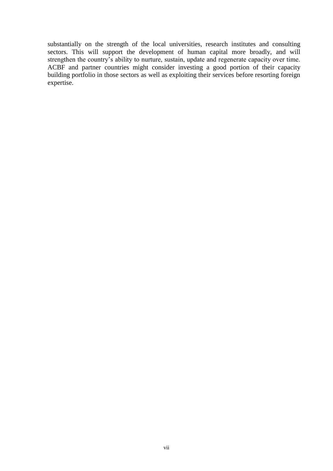substantially on the strength of the local universities, research institutes and consulting sectors. This will support the development of human capital more broadly, and will strengthen the country's ability to nurture, sustain, update and regenerate capacity over time. ACBF and partner countries might consider investing a good portion of their capacity building portfolio in those sectors as well as exploiting their services before resorting foreign expertise.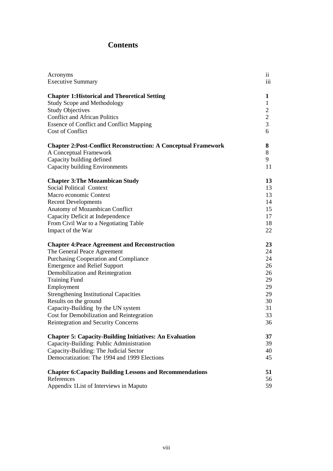# **Contents**

| Acronyms                                                               | $\overline{11}$ |
|------------------------------------------------------------------------|-----------------|
| <b>Executive Summary</b>                                               | 111             |
| <b>Chapter 1: Historical and Theoretical Setting</b>                   | 1               |
| <b>Study Scope and Methodology</b>                                     | 1               |
| <b>Study Objectives</b>                                                | $\mathbf{2}$    |
| <b>Conflict and African Politics</b>                                   | 2               |
| <b>Essence of Conflict and Conflict Mapping</b>                        | 3               |
| Cost of Conflict                                                       | 6               |
| <b>Chapter 2: Post-Conflict Reconstruction: A Conceptual Framework</b> | 8               |
| A Conceptual Framework                                                 | 8               |
| Capacity building defined                                              | 9               |
| Capacity building Environments                                         | 11              |
| <b>Chapter 3: The Mozambican Study</b>                                 | 13              |
| <b>Social Political Context</b>                                        | 13              |
| Macro economic Context                                                 | 13              |
| <b>Recent Developments</b>                                             | 14              |
| Anatomy of Mozambican Conflict                                         | 15              |
| Capacity Deficit at Independence                                       | 17              |
| From Civil War to a Negotiating Table                                  | 18              |
| Impact of the War                                                      | 22              |
| <b>Chapter 4: Peace Agreement and Reconstruction</b>                   | 23              |
| The General Peace Agreement                                            | 24              |
| Purchasing Cooperation and Compliance                                  | 24              |
| <b>Emergence and Relief Support</b>                                    | 26              |
| Demobilization and Reintegration                                       | 26              |
| <b>Training Fund</b>                                                   | 29              |
| Employment                                                             | 29              |
| <b>Strengthening Institutional Capacities</b>                          | 29              |
| Results on the ground                                                  | 30              |
| Capacity-Building by the UN system                                     | 31              |
| Cost for Demobilization and Reintegration                              | 33              |
| Reintegration and Security Concerns                                    | 36              |
| <b>Chapter 5: Capacity-Building Initiatives: An Evaluation</b>         | 37              |
| Capacity-Building: Public Administration                               | 39              |
| Capacity-Building: The Judicial Sector                                 | 40              |
| Democratization: The 1994 and 1999 Elections                           | 45              |
| <b>Chapter 6: Capacity Building Lessons and Recommendations</b>        | 51              |
| References                                                             | 56              |
| Appendix 1List of Interviews in Maputo                                 | 59              |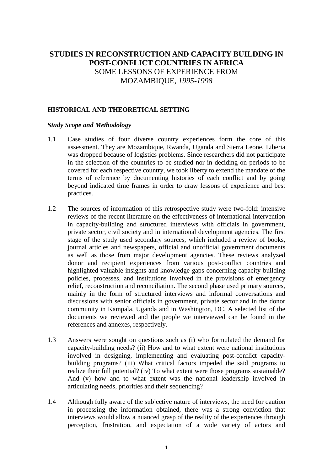# **STUDIES IN RECONSTRUCTION AND CAPACITY BUILDING IN POST-CONFLICT COUNTRIES IN AFRICA** SOME LESSONS OF EXPERIENCE FROM MOZAMBIQUE, *1995-1998*

# **HISTORICAL AND THEORETICAL SETTING**

#### *Study Scope and Methodology*

- 1.1 Case studies of four diverse country experiences form the core of this assessment. They are Mozambique, Rwanda, Uganda and Sierra Leone. Liberia was dropped because of logistics problems. Since researchers did not participate in the selection of the countries to be studied nor in deciding on periods to be covered for each respective country, we took liberty to extend the mandate of the terms of reference by documenting histories of each conflict and by going beyond indicated time frames in order to draw lessons of experience and best practices.
- 1.2 The sources of information of this retrospective study were two-fold: intensive reviews of the recent literature on the effectiveness of international intervention in capacity-building and structured interviews with officials in government, private sector, civil society and in international development agencies. The first stage of the study used secondary sources, which included a review of books, journal articles and newspapers, official and unofficial government documents as well as those from major development agencies. These reviews analyzed donor and recipient experiences from various post-conflict countries and highlighted valuable insights and knowledge gaps concerning capacity-building policies, processes, and institutions involved in the provisions of emergency relief, reconstruction and reconciliation. The second phase used primary sources, mainly in the form of structured interviews and informal conversations and discussions with senior officials in government, private sector and in the donor community in Kampala, Uganda and in Washington, DC. A selected list of the documents we reviewed and the people we interviewed can be found in the references and annexes, respectively.
- 1.3 Answers were sought on questions such as (i) who formulated the demand for capacity-building needs? (ii) How and to what extent were national institutions involved in designing, implementing and evaluating post-conflict capacitybuilding programs? (iii) What critical factors impeded the said programs to realize their full potential? (iv) To what extent were those programs sustainable? And (v) how and to what extent was the national leadership involved in articulating needs, priorities and their sequencing?
- 1.4 Although fully aware of the subjective nature of interviews, the need for caution in processing the information obtained, there was a strong conviction that interviews would allow a nuanced grasp of the reality of the experiences through perception, frustration, and expectation of a wide variety of actors and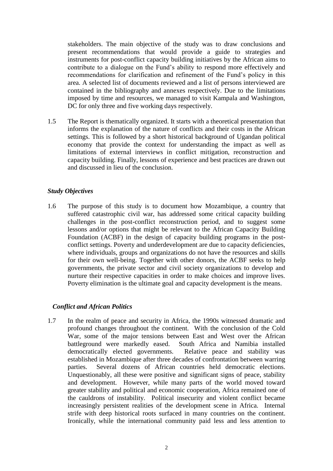stakeholders. The main objective of the study was to draw conclusions and present recommendations that would provide a guide to strategies and instruments for post-conflict capacity building initiatives by the African aims to contribute to a dialogue on the Fund's ability to respond more effectively and recommendations for clarification and refinement of the Fund's policy in this area. A selected list of documents reviewed and a list of persons interviewed are contained in the bibliography and annexes respectively. Due to the limitations imposed by time and resources, we managed to visit Kampala and Washington, DC for only three and five working days respectively.

1.5 The Report is thematically organized. It starts with a theoretical presentation that informs the explanation of the nature of conflicts and their costs in the African settings. This is followed by a short historical background of Ugandan political economy that provide the context for understanding the impact as well as limitations of external interviews in conflict mitigation, reconstruction and capacity building. Finally, lessons of experience and best practices are drawn out and discussed in lieu of the conclusion.

#### *Study Objectives*

1.6 The purpose of this study is to document how Mozambique, a country that suffered catastrophic civil war, has addressed some critical capacity building challenges in the post-conflict reconstruction period, and to suggest some lessons and/or options that might be relevant to the African Capacity Building Foundation (ACBF) in the design of capacity building programs in the postconflict settings. Poverty and underdevelopment are due to capacity deficiencies, where individuals, groups and organizations do not have the resources and skills for their own well-being. Together with other donors, the ACBF seeks to help governments, the private sector and civil society organizations to develop and nurture their respective capacities in order to make choices and improve lives. Poverty elimination is the ultimate goal and capacity development is the means.

#### *Conflict and African Politics*

1.7 In the realm of peace and security in Africa, the 1990s witnessed dramatic and profound changes throughout the continent. With the conclusion of the Cold War, some of the major tensions between East and West over the African battleground were markedly eased. South Africa and Namibia installed democratically elected governments. Relative peace and stability was established in Mozambique after three decades of confrontation between warring parties. Several dozens of African countries held democratic elections. Unquestionably, all these were positive and significant signs of peace, stability and development. However, while many parts of the world moved toward greater stability and political and economic cooperation, Africa remained one of the cauldrons of instability. Political insecurity and violent conflict became increasingly persistent realities of the development scene in Africa. Internal strife with deep historical roots surfaced in many countries on the continent. Ironically, while the international community paid less and less attention to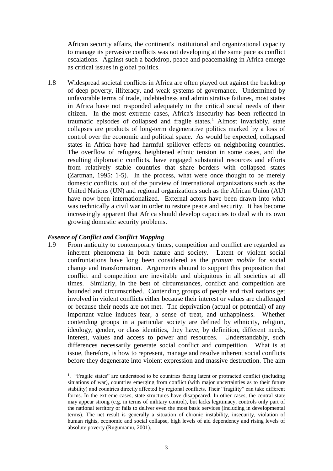African security affairs, the continent's institutional and organizational capacity to manage its pervasive conflicts was not developing at the same pace as conflict escalations. Against such a backdrop, peace and peacemaking in Africa emerge as critical issues in global politics.

1.8 Widespread societal conflicts in Africa are often played out against the backdrop of deep poverty, illiteracy, and weak systems of governance. Undermined by unfavorable terms of trade, indebtedness and administrative failures, most states in Africa have not responded adequately to the critical social needs of their citizen. In the most extreme cases, Africa's insecurity has been reflected in traumatic episodes of collapsed and fragile states.<sup>1</sup> Almost invariably, state collapses are products of long-term degenerative politics marked by a loss of control over the economic and political space. As would be expected, collapsed states in Africa have had harmful spillover effects on neighboring countries. The overflow of refugees, heightened ethnic tension in some cases, and the resulting diplomatic conflicts, have engaged substantial resources and efforts from relatively stable countries that share borders with collapsed states (Zartman, 1995: 1-5). In the process, what were once thought to be merely domestic conflicts, out of the purview of international organizations such as the United Nations (UN) and regional organizations such as the African Union (AU) have now been internationalized. External actors have been drawn into what was technically a civil war in order to restore peace and security. It has become increasingly apparent that Africa should develop capacities to deal with its own growing domestic security problems.

#### *Essence of Conflict and Conflict Mapping*

1

1.9 From antiquity to contemporary times, competition and conflict are regarded as inherent phenomena in both nature and society. Latent or violent social confrontations have long been considered as the *primum mobile* for social change and transformation. Arguments abound to support this proposition that conflict and competition are inevitable and ubiquitous in all societies at all times. Similarly, in the best of circumstances, conflict and competition are bounded and circumscribed. Contending groups of people and rival nations get involved in violent conflicts either because their interest or values are challenged or because their needs are not met. The deprivation (actual or potential) of any important value induces fear, a sense of treat, and unhappiness. Whether contending groups in a particular society are defined by ethnicity, religion, ideology, gender, or class identities, they have, by definition, different needs, interest, values and access to power and resources. Understandably, such differences necessarily generate social conflict and competition. What is at issue, therefore, is how to represent, manage and resolve inherent social conflicts before they degenerate into violent expression and massive destruction. The aim

<sup>&</sup>lt;sup>1</sup>. "Fragile states" are understood to be countries facing latent or protracted conflict (including situations of war), countries emerging from conflict (with major uncertainties as to their future stability) and countries directly affected by regional conflicts. Their "fragility" can take different forms. In the extreme cases, state structures have disappeared. In other cases, the central state may appear strong (e.g. in terms of military control), but lacks legitimacy, controls only part of the national territory or fails to deliver even the most basic services (including in developmental terms). The net result is generally a situation of chronic instability, insecurity, violation of human rights, economic and social collapse, high levels of aid dependency and rising levels of absolute poverty (Rugumamu, 2001).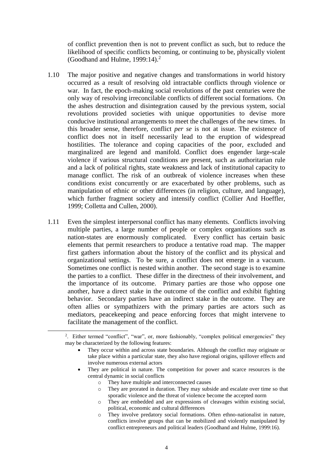of conflict prevention then is not to prevent conflict as such, but to reduce the likelihood of specific conflicts becoming, or continuing to be, physically violent (Goodhand and Hulme,  $1999:14$ ).<sup>2</sup>

- 1.10 The major positive and negative changes and transformations in world history occurred as a result of resolving old intractable conflicts through violence or war. In fact, the epoch-making social revolutions of the past centuries were the only way of resolving irreconcilable conflicts of different social formations. On the ashes destruction and disintegration caused by the previous system, social revolutions provided societies with unique opportunities to devise more conducive institutional arrangements to meet the challenges of the new times. In this broader sense, therefore, conflict *per se* is not at issue. The existence of conflict does not in itself necessarily lead to the eruption of widespread hostilities. The tolerance and coping capacities of the poor, excluded and marginalized are legend and manifold. Conflict does engender large-scale violence if various structural conditions are present, such as authoritarian rule and a lack of political rights, state weakness and lack of institutional capacity to manage conflict. The risk of an outbreak of violence increases when these conditions exist concurrently or are exacerbated by other problems, such as manipulation of ethnic or other differences (in religion, culture, and language), which further fragment society and intensify conflict (Collier And Hoeffler, 1999; Colletta and Cullen, 2000).
- 1.11 Even the simplest interpersonal conflict has many elements. Conflicts involving multiple parties, a large number of people or complex organizations such as nation-states are enormously complicated. Every conflict has certain basic elements that permit researchers to produce a tentative road map. The mapper first gathers information about the history of the conflict and its physical and organizational settings. To be sure, a conflict does not emerge in a vacuum. Sometimes one conflict is nested within another. The second stage is to examine the parties to a conflict. These differ in the directness of their involvement, and the importance of its outcome. Primary parties are those who oppose one another, have a direct stake in the outcome of the conflict and exhibit fighting behavior. Secondary parties have an indirect stake in the outcome. They are often allies or sympathizers with the primary parties are actors such as mediators, peacekeeping and peace enforcing forces that might intervene to facilitate the management of the conflict.

- They are political in nature. The competition for power and scarce resources is the central dynamic in social conflicts
	- o They have multiple and interconnected causes

1

- o They are prorated in duration. They may subside and escalate over time so that sporadic violence and the threat of violence become the accepted norm
- They are embedded and are expressions of cleavages within existing social, political, economic and cultural differences
- o They involve predatory social formations. Often ethno-nationalist in nature, conflicts involve groups that can be mobilized and violently manipulated by conflict entrepreneurs and political leaders (Goodhand and Hulme, 1999:16).

<sup>2</sup> . Either termed "conflict", "war", or, more fashionably, "complex political emergencies" they may be characterized by the following features:

They occur within and across state boundaries. Although the conflict may originate or take place within a particular state, they also have regional origins, spillover effects and involve numerous external actors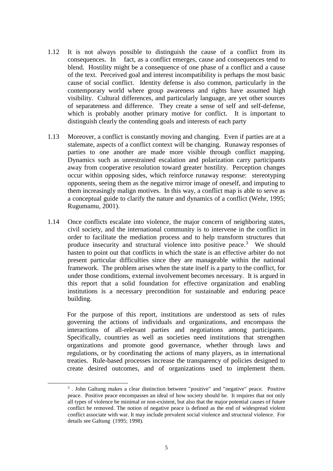- 1.12 It is not always possible to distinguish the cause of a conflict from its consequences. In fact, as a conflict emerges, cause and consequences tend to blend. Hostility might be a consequence of one phase of a conflict and a cause of the text. Perceived goal and interest incompatibility is perhaps the most basic cause of social conflict. Identity defense is also common, particularly in the contemporary world where group awareness and rights have assumed high visibility. Cultural differences, and particularly language, are yet other sources of separateness and difference. They create a sense of self and self-defense, which is probably another primary motive for conflict. It is important to distinguish clearly the contending goals and interests of each party
- 1.13 Moreover, a conflict is constantly moving and changing. Even if parties are at a stalemate, aspects of a conflict context will be changing. Runaway responses of parties to one another are made more visible through conflict mapping. Dynamics such as unrestrained escalation and polarization carry participants away from cooperative resolution toward greater hostility. Perception changes occur within opposing sides, which reinforce runaway response: stereotyping opponents, seeing them as the negative mirror image of oneself, and imputing to them increasingly malign motives. In this way, a conflict map is able to serve as a conceptual guide to clarify the nature and dynamics of a conflict (Wehr, 1995; Rugumamu, 2001).
- 1.14 Once conflicts escalate into violence, the major concern of neighboring states, civil society, and the international community is to intervene in the conflict in order to facilitate the mediation process and to help transform structures that produce insecurity and structural violence into positive peace.<sup>3</sup> We should hasten to point out that conflicts in which the state is an effective arbiter do not present particular difficulties since they are manageable within the national framework. The problem arises when the state itself is a party to the conflict, for under those conditions, external involvement becomes necessary. It is argued in this report that a solid foundation for effective organization and enabling institutions is a necessary precondition for sustainable and enduring peace building.

For the purpose of this report, institutions are understood as sets of rules governing the actions of individuals and organizations, and encompass the interactions of all-relevant parties and negotiations among participants. Specifically, countries as well as societies need institutions that strengthen organizations and promote good governance, whether through laws and regulations, or by coordinating the actions of many players, as in international treaties. Rule-based processes increase the transparency of policies designed to create desired outcomes, and of organizations used to implement them.

-

<sup>&</sup>lt;sup>3</sup>. John Galtung makes a clear distinction between "positive" and "negative" peace. Positive peace. Positive peace encompasses an ideal of how society should be. It requires that not only all types of violence be minimal or non-existent, but also that the major potential causes of future conflict be removed. The notion of negative peace is defined as the end of widespread violent conflict associate with war. It may include prevalent social violence and structural violence. For details see Galtung (1995; 1998).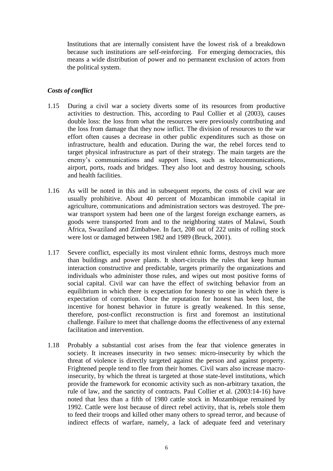Institutions that are internally consistent have the lowest risk of a breakdown because such institutions are self-reinforcing. For emerging democracies, this means a wide distribution of power and no permanent exclusion of actors from the political system.

## *Costs of conflict*

- 1.15 During a civil war a society diverts some of its resources from productive activities to destruction. This, according to Paul Collier et al (2003), causes double loss: the loss from what the resources were previously contributing and the loss from damage that they now inflict. The division of resources to the war effort often causes a decrease in other public expenditures such as those on infrastructure, health and education. During the war, the rebel forces tend to target physical infrastructure as part of their strategy. The main targets are the enemy's communications and support lines, such as telecommunications, airport, ports, roads and bridges. They also loot and destroy housing, schools and health facilities.
- 1.16 As will be noted in this and in subsequent reports, the costs of civil war are usually prohibitive. About 40 percent of Mozambican immobile capital in agriculture, communications and administration sectors was destroyed. The prewar transport system had been one of the largest foreign exchange earners, as goods were transported from and to the neighboring states of Malawi, South Africa, Swaziland and Zimbabwe. In fact, 208 out of 222 units of rolling stock were lost or damaged between 1982 and 1989 (Bruck, 2001).
- 1.17 Severe conflict, especially its most virulent ethnic forms, destroys much more than buildings and power plants. It short-circuits the rules that keep human interaction constructive and predictable, targets primarily the organizations and individuals who administer those rules, and wipes out most positive forms of social capital. Civil war can have the effect of switching behavior from an equilibrium in which there is expectation for honesty to one in which there is expectation of corruption. Once the reputation for honest has been lost, the incentive for honest behavior in future is greatly weakened. In this sense, therefore, post-conflict reconstruction is first and foremost an institutional challenge. Failure to meet that challenge dooms the effectiveness of any external facilitation and intervention.
- 1.18 Probably a substantial cost arises from the fear that violence generates in society. It increases insecurity in two senses: micro-insecurity by which the threat of violence is directly targeted against the person and against property. Frightened people tend to flee from their homes. Civil wars also increase macroinsecurity, by which the threat is targeted at those state-level institutions, which provide the framework for economic activity such as non-arbitrary taxation, the rule of law, and the sanctity of contracts. Paul Collier et al. (2003:14-16) have noted that less than a fifth of 1980 cattle stock in Mozambique remained by 1992. Cattle were lost because of direct rebel activity, that is, rebels stole them to feed their troops and killed other many others to spread terror, and because of indirect effects of warfare, namely, a lack of adequate feed and veterinary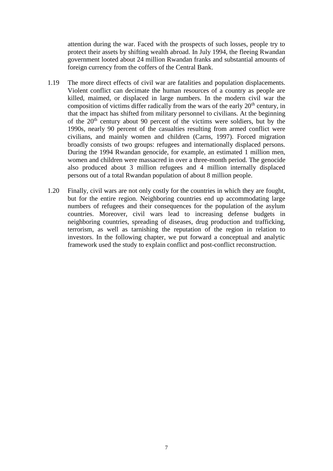attention during the war. Faced with the prospects of such losses, people try to protect their assets by shifting wealth abroad. In July 1994, the fleeing Rwandan government looted about 24 million Rwandan franks and substantial amounts of foreign currency from the coffers of the Central Bank.

- 1.19 The more direct effects of civil war are fatalities and population displacements. Violent conflict can decimate the human resources of a country as people are killed, maimed, or displaced in large numbers. In the modern civil war the composition of victims differ radically from the wars of the early  $20<sup>th</sup>$  century, in that the impact has shifted from military personnel to civilians. At the beginning of the 20th century about 90 percent of the victims were soldiers, but by the 1990s, nearly 90 percent of the casualties resulting from armed conflict were civilians, and mainly women and children (Carns, 1997). Forced migration broadly consists of two groups: refugees and internationally displaced persons. During the 1994 Rwandan genocide, for example, an estimated 1 million men, women and children were massacred in over a three-month period. The genocide also produced about 3 million refugees and 4 million internally displaced persons out of a total Rwandan population of about 8 million people.
- 1.20 Finally, civil wars are not only costly for the countries in which they are fought, but for the entire region. Neighboring countries end up accommodating large numbers of refugees and their consequences for the population of the asylum countries. Moreover, civil wars lead to increasing defense budgets in neighboring countries, spreading of diseases, drug production and trafficking, terrorism, as well as tarnishing the reputation of the region in relation to investors. In the following chapter, we put forward a conceptual and analytic framework used the study to explain conflict and post-conflict reconstruction.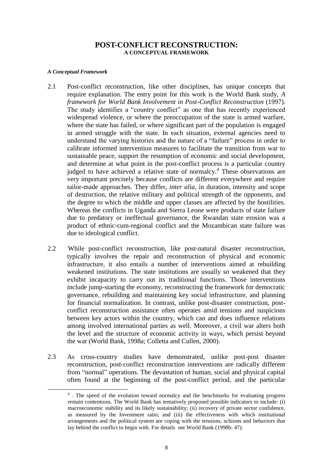## **POST-CONFLICT RECONSTRUCTION: A CONCEPTUAL FRAMEWORK**

#### *A Conceptual Framework*

-

- 2.1 Post-conflict reconstruction, like other disciplines, has unique concepts that require explanation. The entry point for this work is the World Bank study, *A framework for World Bank Involvement in Post-Conflict Reconstruction (1997).* The study identifies a "country conflict" as one that has recently experienced widespread violence, or where the preoccupation of the state is armed warfare, where the state has failed, or where significant part of the population is engaged in armed struggle with the state. In each situation, external agencies need to understand the varying histories and the nature of a "failure" process in order to calibrate informed intervention measures to facilitate the transition from war to sustainable peace, support the resumption of economic and social development, and determine at what point in the post-conflict process is a particular country judged to have achieved a relative state of normalcy.<sup>4</sup> These observations are very important precisely because conflicts are different everywhere and require tailor-made approaches. They differ, *inter alia,* in duration, intensity and scope of destruction, the relative military and political strength of the opponents, and the degree to which the middle and upper classes are affected by the hostilities. Whereas the conflicts in Uganda and Sierra Leone were products of state failure due to predatory or ineffectual governance, the Rwandan state erosion was a product of ethnic-cum-regional conflict and the Mozambican state failure was due to ideological conflict.
- 2.2 While post-conflict reconstruction, like post-natural disaster reconstruction, typically involves the repair and reconstruction of physical and economic infrastructure, it also entails a number of interventions aimed at rebuilding weakened institutions. The state institutions are usually so weakened that they exhibit incapacity to carry out its traditional functions. Those interventions include jump-starting the economy, reconstructing the framework for democratic governance, rebuilding and maintaining key social infrastructure, and planning for financial normalization. In contrast, unlike post-disaster construction, postconflict reconstruction assistance often operates amid tensions and suspicions between key actors within the country, which can and does influence relations among involved international parties as well. Moreover, a civil war alters both the level and the structure of economic activity in ways, which persist beyond the war (World Bank, 1998a; Colletta and Cullen, 2000).
- 2.3 As cross-country studies have demonstrated, unlike post-post disaster reconstruction, post-conflict reconstruction interventions are radically different from "normal" operations. The devastation of human, social and physical capital often found at the beginning of the post-conflict period, and the particular

<sup>4</sup> . The speed of the evolution toward normalcy and the benchmarks for evaluating progress remain contentious. The World Bank has tentatively proposed possible indicators to include: (i) macroeconomic stability and its likely sustainability; (ii) recovery of private sector confidence, as measured by the Investment ratio; and (iii) the effectiveness with which institutional arrangements and the political system are coping with the tensions, schisms and behaviors that lay behind the conflict to begin with. For details see World Bank (1998b: 47).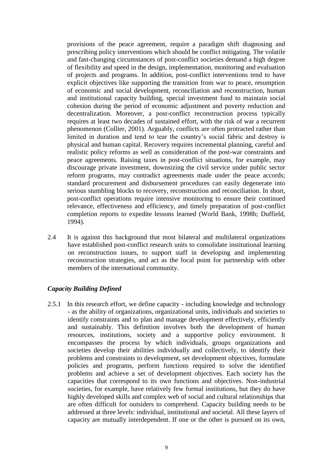provisions of the peace agreement, require a paradigm shift diagnosing and prescribing policy interventions which should be conflict mitigating. The volatile and fast-changing circumstances of post-conflict societies demand a high degree of flexibility and speed in the design, implementation, monitoring and evaluation of projects and programs. In addition, post-conflict interventions tend to have explicit objectives like supporting the transition from war to peace, resumption of economic and social development, reconciliation and reconstruction, human and institutional capacity building, special investment fund to maintain social cohesion during the period of economic adjustment and poverty reduction and decentralization. Moreover, a post-conflict reconstruction process typically requires at least two decades of sustained effort, with the risk of war a recurrent phenomenon (Collier, 2001). Arguably, conflicts are often protracted rather than limited in duration and tend to tear the country's social fabric and destroy is physical and human capital. Recovery requires incremental planning, careful and realistic policy reforms as well as consideration of the post-war constraints and peace agreements. Raising taxes in post-conflict situations, for example, may discourage private investment, downsizing the civil service under public sector reform programs, may contradict agreements made under the peace accords; standard procurement and disbursement procedures can easily degenerate into serious stumbling blocks to recovery, reconstruction and reconciliation. In short, post-conflict operations require intensive monitoring to ensure their continued relevance, effectiveness and efficiency, and timely preparation of post-conflict completion reports to expedite lessons learned (World Bank, 1998b; Duffield, 1994).

2.4 It is against this background that most bilateral and multilateral organizations have established post-conflict research units to consolidate institutional learning on reconstruction issues, to support staff in developing and implementing reconstruction strategies, and act as the focal point for partnership with other members of the international community.

#### *Capacity Building Defined*

2.5.1 In this research effort, we define capacity - including knowledge and technology - as the ability of organizations, organizational units, individuals and societies to identify constraints and to plan and manage development effectively, efficiently and sustainably. This definition involves both the development of human resources, institutions, society and a supportive policy environment. It encompasses the process by which individuals, groups organizations and societies develop their abilities individually and collectively, to identify their problems and constraints to development, set development objectives, formulate policies and programs, perform functions required to solve the identified problems and achieve a set of development objectives. Each society has the capacities that correspond to its own functions and objectives. Non-industrial societies, for example, have relatively few formal institutions, but they do have highly developed skills and complex web of social and cultural relationships that are often difficult for outsiders to comprehend. Capacity building needs to be addressed at three levels: individual, institutional and societal. All these layers of capacity are mutually interdependent. If one or the other is pursued on its own,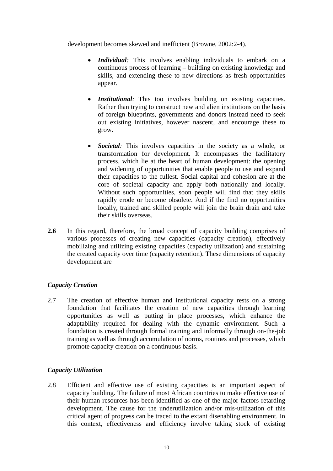development becomes skewed and inefficient (Browne, 2002:2-4).

- *Individual:* This involves enabling individuals to embark on a continuous process of learning – building on existing knowledge and skills, and extending these to new directions as fresh opportunities appear.
- *Institutional*: This too involves building on existing capacities. Rather than trying to construct new and alien institutions on the basis of foreign blueprints, governments and donors instead need to seek out existing initiatives, however nascent, and encourage these to grow.
- *Societal*: This involves capacities in the society as a whole, or transformation for development. It encompasses the facilitatory process, which lie at the heart of human development: the opening and widening of opportunities that enable people to use and expand their capacities to the fullest. Social capital and cohesion are at the core of societal capacity and apply both nationally and locally. Without such opportunities, soon people will find that they skills rapidly erode or become obsolete. And if the find no opportunities locally, trained and skilled people will join the brain drain and take their skills overseas.
- **2.6** In this regard, therefore, the broad concept of capacity building comprises of various processes of creating new capacities (capacity creation), effectively mobilizing and utilizing existing capacities (capacity utilization) and sustaining the created capacity over time (capacity retention). These dimensions of capacity development are

# *Capacity Creation*

2.7 The creation of effective human and institutional capacity rests on a strong foundation that facilitates the creation of new capacities through learning opportunities as well as putting in place processes, which enhance the adaptability required for dealing with the dynamic environment. Such a foundation is created through formal training and informally through on-the-job training as well as through accumulation of norms, routines and processes, which promote capacity creation on a continuous basis.

# *Capacity Utilization*

2.8 Efficient and effective use of existing capacities is an important aspect of capacity building. The failure of most African countries to make effective use of their human resources has been identified as one of the major factors retarding development. The cause for the underutilization and/or mis-utilization of this critical agent of progress can be traced to the extant disenabling environment. In this context, effectiveness and efficiency involve taking stock of existing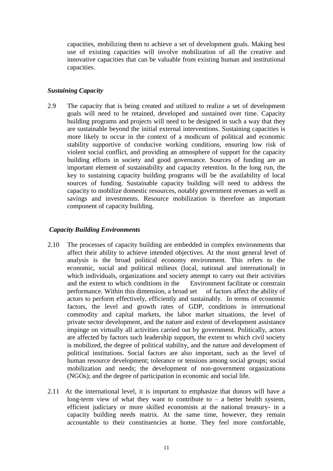capacities, mobilizing them to achieve a set of development goals. Making best use of existing capacities will involve mobilization of all the creative and innovative capacities that can be valuable from existing human and institutional capacities.

### *Sustaining Capacity*

2.9 The capacity that is being created and utilized to realize a set of development goals will need to be retained, developed and sustained over time. Capacity building programs and projects will need to be designed in such a way that they are sustainable beyond the initial external interventions. Sustaining capacities is more likely to occur in the context of a modicum of political and economic stability supportive of conducive working conditions, ensuring low risk of violent social conflict, and providing an atmosphere of support for the capacity building efforts in society and good governance. Sources of funding are an important element of sustainability and capacity retention. In the long run, the key to sustaining capacity building programs will be the availability of local sources of funding. Sustainable capacity building will need to address the capacity to mobilize domestic resources, notably government revenues as well as savings and investments. Resource mobilization is therefore an important component of capacity building.

#### *Capacity Building Environments*

- 2.10 The processes of capacity building are embedded in complex environments that affect their ability to achieve intended objectives. At the most general level of analysis is the broad political economy environment. This refers to the economic, social and political milieux (local, national and international) in which individuals, organizations and society attempt to carry out their activities and the extent to which conditions in the Environment facilitate or constrain performance. Within this dimension, a broad set of factors affect the ability of actors to perform effectively, efficiently and sustainably. In terms of economic factors, the level and growth rates of GDP, conditions in international commodity and capital markets, the labor market situations, the level of private sector development, and the nature and extent of development assistance impinge on virtually all activities carried out by government. Politically, actors are affected by factors such leadership support, the extent to which civil society is mobilized, the degree of political stability, and the nature and development of political institutions. Social factors are also important, such as the level of human resource development; tolerance or tensions among social groups; social mobilization and needs; the development of non-government organizations (NGOs); and the degree of participation in economic and social life.
- 2.11 At the international level, it is important to emphasize that donors will have a long-term view of what they want to contribute to  $-$  a better health system, efficient judiciary or more skilled economists at the national treasury- in a capacity building needs matrix. At the same time, however, they remain accountable to their constituencies at home. They feel more comfortable,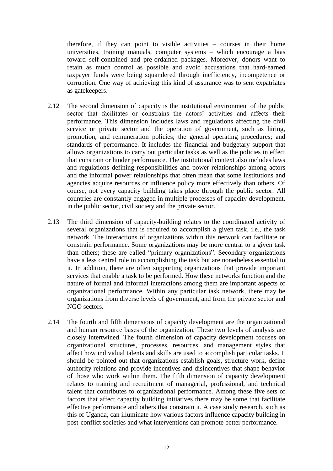therefore, if they can point to visible activities – courses in their home universities, training manuals, computer systems – which encourage a bias toward self-contained and pre-ordained packages. Moreover, donors want to retain as much control as possible and avoid accusations that hard-earned taxpayer funds were being squandered through inefficiency, incompetence or corruption. One way of achieving this kind of assurance was to sent expatriates as gatekeepers.

- 2.12 The second dimension of capacity is the institutional environment of the public sector that facilitates or constrains the actors' activities and affects their performance. This dimension includes laws and regulations affecting the civil service or private sector and the operation of government, such as hiring, promotion, and remuneration policies; the general operating procedures; and standards of performance. It includes the financial and budgetary support that allows organizations to carry out particular tasks as well as the policies in effect that constrain or hinder performance. The institutional context also includes laws and regulations defining responsibilities and power relationships among actors and the informal power relationships that often mean that some institutions and agencies acquire resources or influence policy more effectively than others. Of course, not every capacity building takes place through the public sector. All countries are constantly engaged in multiple processes of capacity development, in the public sector, civil society and the private sector.
- 2.13 The third dimension of capacity-building relates to the coordinated activity of several organizations that is required to accomplish a given task, i.e., the task network. The interactions of organizations within this network can facilitate or constrain performance. Some organizations may be more central to a given task than others; these are called "primary organizations". Secondary organizations have a less central role in accomplishing the task but are nonetheless essential to it. In addition, there are often supporting organizations that provide important services that enable a task to be performed. How these networks function and the nature of formal and informal interactions among them are important aspects of organizational performance. Within any particular task network, there may be organizations from diverse levels of government, and from the private sector and NGO sectors.
- 2.14 The fourth and fifth dimensions of capacity development are the organizational and human resource bases of the organization. These two levels of analysis are closely intertwined. The fourth dimension of capacity development focuses on organizational structures, processes, resources, and management styles that affect how individual talents and skills are used to accomplish particular tasks. It should be pointed out that organizations establish goals, structure work, define authority relations and provide incentives and disincentives that shape behavior of those who work within them. The fifth dimension of capacity development relates to training and recruitment of managerial, professional, and technical talent that contributes to organizational performance. Among these five sets of factors that affect capacity building initiatives there may be some that facilitate effective performance and others that constrain it. A case study research, such as this of Uganda, can illuminate how various factors influence capacity building in post-conflict societies and what interventions can promote better performance.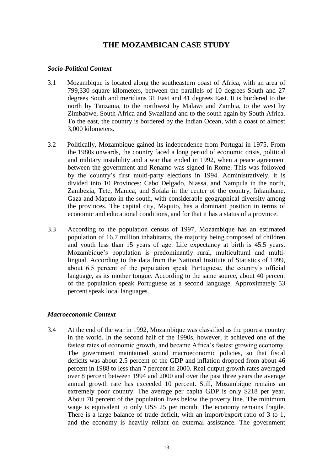# **THE MOZAMBICAN CASE STUDY**

### *Socio-Political Context*

- 3.1 Mozambique is located along the southeastern coast of Africa, with an area of 799,330 square kilometers, between the parallels of 10 degrees South and 27 degrees South and meridians 31 East and 41 degrees East. It is bordered to the north by Tanzania, to the northwest by Malawi and Zambia, to the west by Zimbabwe, South Africa and Swaziland and to the south again by South Africa. To the east, the country is bordered by the Indian Ocean, with a coast of almost 3,000 kilometers.
- 3.2 Politically, Mozambique gained its independence from Portugal in 1975. From the 1980s onwards, the country faced a long period of economic crisis, political and military instability and a war that ended in 1992, when a peace agreement between the government and Renamo was signed in Rome. This was followed by the country's first multi-party elections in 1994. Administratively, it is divided into 10 Provinces: Cabo Delgado, Niassa, and Nampula in the north, Zambezia, Tete, Manica, and Sofala in the center of the country, Inhambane, Gaza and Maputo in the south, with considerable geographical diversity among the provinces. The capital city, Maputo, has a dominant position in terms of economic and educational conditions, and for that it has a status of a province.
- 3.3 According to the population census of 1997, Mozambique has an estimated population of 16.7 million inhabitants, the majority being composed of children and youth less than 15 years of age. Life expectancy at birth is 45.5 years. Mozambique's population is predominantly rural, multicultural and multilingual. According to the data from the National Institute of Statistics of 1999, about 6.5 percent of the population speak Portuguese, the country's official language, as its mother tongue. According to the same source, about 40 percent of the population speak Portuguese as a second language. Approximately 53 percent speak local languages.

# *Macroeconomic Context*

3.4 At the end of the war in 1992, Mozambique was classified as the poorest country in the world. In the second half of the 1990s, however, it achieved one of the fastest rates of economic growth, and became Africa's fastest growing economy. The government maintained sound macroeconomic policies, so that fiscal deficits was about 2.5 percent of the GDP and inflation dropped from about 46 percent in 1988 to less than 7 percent in 2000. Real output growth rates averaged over 8 percent between 1994 and 2000 and over the past three years the average annual growth rate has exceeded 10 percent. Still, Mozambique remains an extremely poor country. The average per capita GDP is only \$218 per year. About 70 percent of the population lives below the poverty line. The minimum wage is equivalent to only US\$ 25 per month. The economy remains fragile. There is a large balance of trade deficit, with an import/export ratio of 3 to 1, and the economy is heavily reliant on external assistance. The government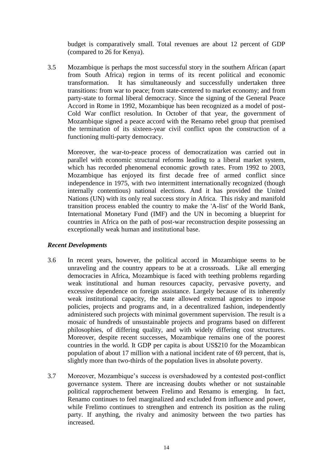budget is comparatively small. Total revenues are about 12 percent of GDP (compared to 26 for Kenya).

3.5 Mozambique is perhaps the most successful story in the southern African (apart from South Africa) region in terms of its recent political and economic transformation. It has simultaneously and successfully undertaken three It has simultaneously and successfully undertaken three transitions: from war to peace; from state-centered to market economy; and from party-state to formal liberal democracy. Since the signing of the General Peace Accord in Rome in 1992, Mozambique has been recognized as a model of post-Cold War conflict resolution. In October of that year, the government of Mozambique signed a peace accord with the Renamo rebel group that premised the termination of its sixteen-year civil conflict upon the construction of a functioning multi-party democracy.

Moreover, the war-to-peace process of democratization was carried out in parallel with economic structural reforms leading to a liberal market system, which has recorded phenomenal economic growth rates. From 1992 to 2003, Mozambique has enjoyed its first decade free of armed conflict since independence in 1975, with two intermittent internationally recognized (though internally contentious) national elections. And it has provided the United Nations (UN) with its only real success story in Africa. This risky and manifold transition process enabled the country to make the 'A-list' of the World Bank, International Monetary Fund (IMF) and the UN in becoming a blueprint for countries in Africa on the path of post-war reconstruction despite possessing an exceptionally weak human and institutional base.

# *Recent Developments*

- 3.6 In recent years, however, the political accord in Mozambique seems to be unraveling and the country appears to be at a crossroads. Like all emerging democracies in Africa, Mozambique is faced with teething problems regarding weak institutional and human resources capacity, pervasive poverty, and excessive dependence on foreign assistance. Largely because of its inherently weak institutional capacity, the state allowed external agencies to impose policies, projects and programs and, in a decentralized fashion, independently administered such projects with minimal government supervision. The result is a mosaic of hundreds of unsustainable projects and programs based on different philosophies, of differing quality, and with widely differing cost structures. Moreover, despite recent successes, Mozambique remains one of the poorest countries in the world. It GDP per capita is about US\$210 for the Mozambican population of about 17 million with a national incident rate of 69 percent, that is, slightly more than two-thirds of the population lives in absolute poverty.
- 3.7 Moreover, Mozambique's success is overshadowed by a contested post-conflict governance system. There are increasing doubts whether or not sustainable political rapprochement between Frelimo and Renamo is emerging. In fact, Renamo continues to feel marginalized and excluded from influence and power, while Frelimo continues to strengthen and entrench its position as the ruling party. If anything, the rivalry and animosity between the two parties has increased.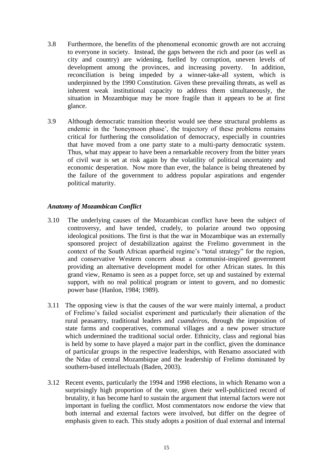- 3.8 Furthermore, the benefits of the phenomenal economic growth are not accruing to everyone in society. Instead, the gaps between the rich and poor (as well as city and country) are widening, fuelled by corruption, uneven levels of development among the provinces, and increasing poverty. In addition, reconciliation is being impeded by a winner-take-all system, which is underpinned by the 1990 Constitution. Given these prevailing threats, as well as inherent weak institutional capacity to address them simultaneously, the situation in Mozambique may be more fragile than it appears to be at first glance.
- 3.9 Although democratic transition theorist would see these structural problems as endemic in the 'honeymoon phase', the trajectory of these problems remains critical for furthering the consolidation of democracy, especially in countries that have moved from a one party state to a multi-party democratic system. Thus, what may appear to have been a remarkable recovery from the bitter years of civil war is set at risk again by the volatility of political uncertainty and economic desperation. Now more than ever, the balance is being threatened by the failure of the government to address popular aspirations and engender political maturity.

# *Anatomy of Mozambican Conflict*

- 3.10 The underlying causes of the Mozambican conflict have been the subject of controversy, and have tended, crudely, to polarize around two opposing ideological positions. The first is that the war in Mozambique was an externally sponsored project of destabilization against the Frelimo government in the context of the South African apartheid regime's "total strategy" for the region, and conservative Western concern about a communist-inspired government providing an alternative development model for other African states. In this grand view, Renamo is seen as a puppet force, set up and sustained by external support, with no real political program or intent to govern, and no domestic power base (Hanlon, 1984; 1989).
- 3.11 The opposing view is that the causes of the war were mainly internal, a product of Frelimo's failed socialist experiment and particularly their alienation of the rural peasantry, traditional leaders and *cuandeiros,* through the imposition of state farms and cooperatives, communal villages and a new power structure which undermined the traditional social order. Ethnicity, class and regional bias is held by some to have played a major part in the conflict, given the dominance of particular groups in the respective leaderships, with Renamo associated with the Ndau of central Mozambique and the leadership of Frelimo dominated by southern-based intellectuals (Baden, 2003).
- 3.12 Recent events, particularly the 1994 and 1998 elections, in which Renamo won a surprisingly high proportion of the vote, given their well-publicized record of brutality, it has become hard to sustain the argument that internal factors were not important in fueling the conflict. Most commentators now endorse the view that both internal and external factors were involved, but differ on the degree of emphasis given to each. This study adopts a position of dual external and internal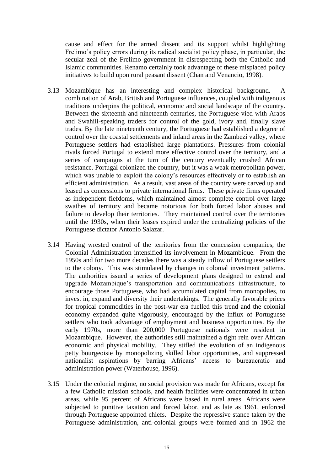cause and effect for the armed dissent and its support whilst highlighting Frelimo's policy errors during its radical socialist policy phase, in particular, the secular zeal of the Frelimo government in disrespecting both the Catholic and Islamic communities. Renamo certainly took advantage of these misplaced policy initiatives to build upon rural peasant dissent (Chan and Venancio, 1998).

- 3.13 Mozambique has an interesting and complex historical background. A combination of Arab, British and Portuguese influences, coupled with indigenous traditions underpins the political, economic and social landscape of the country. Between the sixteenth and nineteenth centuries, the Portuguese vied with Arabs and Swahili-speaking traders for control of the gold, ivory and, finally slave trades. By the late nineteenth century, the Portuguese had established a degree of control over the coastal settlements and inland areas in the Zambezi valley, where Portuguese settlers had established large plantations. Pressures from colonial rivals forced Portugal to extend more effective control over the territory, and a series of campaigns at the turn of the century eventually crushed African resistance. Portugal colonized the country, but it was a weak metropolitan power, which was unable to exploit the colony's resources effectively or to establish an efficient administration. As a result, vast areas of the country were carved up and leased as concessions to private international firms. These private firms operated as independent fiefdoms, which maintained almost complete control over large swathes of territory and became notorious for both forced labor abuses and failure to develop their territories. They maintained control over the territories until the 1930s, when their leases expired under the centralizing policies of the Portuguese dictator Antonio Salazar.
- 3.14 Having wrested control of the territories from the concession companies, the Colonial Administration intensified its involvement in Mozambique. From the 1950s and for two more decades there was a steady inflow of Portuguese settlers to the colony. This was stimulated by changes in colonial investment patterns. The authorities issued a series of development plans designed to extend and upgrade Mozambique's transportation and communications infrastructure, to encourage those Portuguese, who had accumulated capital from monopolies, to invest in, expand and diversity their undertakings. The generally favorable prices for tropical commodities in the post-war era fuelled this trend and the colonial economy expanded quite vigorously, encouraged by the influx of Portuguese settlers who took advantage of employment and business opportunities. By the early 1970s, more than 200,000 Portuguese nationals were resident in Mozambique. However, the authorities still maintained a tight rein over African economic and physical mobility. They stifled the evolution of an indigenous petty bourgeoisie by monopolizing skilled labor opportunities, and suppressed nationalist aspirations by barring Africans' access to bureaucratic and administration power (Waterhouse, 1996).
- 3.15 Under the colonial regime, no social provision was made for Africans, except for a few Catholic mission schools, and health facilities were concentrated in urban areas, while 95 percent of Africans were based in rural areas. Africans were subjected to punitive taxation and forced labor, and as late as 1961, enforced through Portuguese appointed chiefs. Despite the repressive stance taken by the Portuguese administration, anti-colonial groups were formed and in 1962 the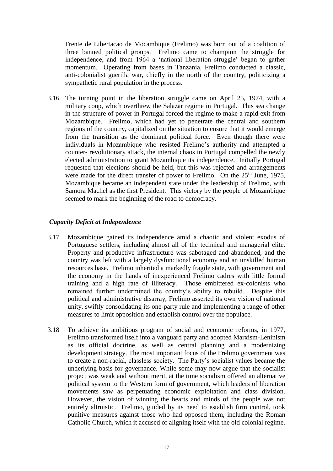Frente de Libertacao de Mocambique (Frelimo) was born out of a coalition of three banned political groups. Frelimo came to champion the struggle for independence, and from 1964 a 'national liberation struggle' began to gather momentum. Operating from bases in Tanzania, Frelimo conducted a classic, anti-colonialist guerilla war, chiefly in the north of the country, politicizing a sympathetic rural population in the process.

3.16 The turning point in the liberation struggle came on April 25, 1974, with a military coup, which overthrew the Salazar regime in Portugal. This sea change in the structure of power in Portugal forced the regime to make a rapid exit from Mozambique. Frelimo, which had yet to penetrate the central and southern regions of the country, capitalized on the situation to ensure that it would emerge from the transition as the dominant political force. Even though there were individuals in Mozambique who resisted Frelimo's authority and attempted a counter- revolutionary attack, the internal chaos in Portugal compelled the newly elected administration to grant Mozambique its independence. Initially Portugal requested that elections should be held, but this was rejected and arrangements were made for the direct transfer of power to Frelimo. On the  $25<sup>th</sup>$  June, 1975, Mozambique became an independent state under the leadership of Frelimo, with Samora Machel as the first President. This victory by the people of Mozambique seemed to mark the beginning of the road to democracy.

#### *Capacity Deficit at Independence*

- 3.17 Mozambique gained its independence amid a chaotic and violent exodus of Portuguese settlers, including almost all of the technical and managerial elite. Property and productive infrastructure was sabotaged and abandoned, and the country was left with a largely dysfunctional economy and an unskilled human resources base. Frelimo inherited a markedly fragile state, with government and the economy in the hands of inexperienced Frelimo cadres with little formal training and a high rate of illiteracy. Those embittered ex-colonists who remained further undermined the country's ability to rebuild. Despite this political and administrative disarray, Frelimo asserted its own vision of national unity, swiftly consolidating its one-party rule and implementing a range of other measures to limit opposition and establish control over the populace.
- 3.18 To achieve its ambitious program of social and economic reforms, in 1977, Frelimo transformed itself into a vanguard party and adopted Marxism-Leninism as its official doctrine, as well as central planning and a modernizing development strategy. The most important focus of the Frelimo government was to create a non-racial, classless society. The Party's socialist values became the underlying basis for governance. While some may now argue that the socialist project was weak and without merit, at the time socialism offered an alternative political system to the Western form of government, which leaders of liberation movements saw as perpetuating economic exploitation and class division. However, the vision of winning the hearts and minds of the people was not entirely altruistic. Frelimo, guided by its need to establish firm control, took punitive measures against those who had opposed them, including the Roman Catholic Church, which it accused of aligning itself with the old colonial regime.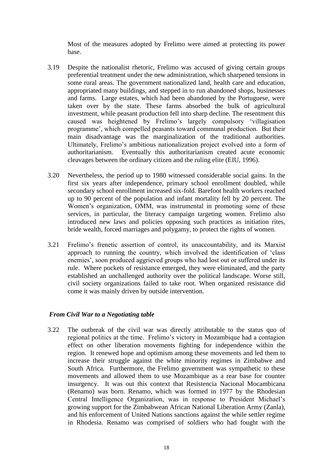Most of the measures adopted by Frelimo were aimed at protecting its power base.

- 3.19 Despite the nationalist rhetoric, Frelimo was accused of giving certain groups preferential treatment under the new administration, which sharpened tensions in some rural areas. The government nationalized land, health care and education, appropriated many buildings, and stepped in to run abandoned shops, businesses and farms. Large estates, which had been abandoned by the Portuguese, were taken over by the state. These farms absorbed the bulk of agricultural investment, while peasant production fell into sharp decline. The resentment this caused was heightened by Frelimo's largely compulsory 'villagisation programme', which compelled peasants toward communal production. But their main disadvantage was the marginalization of the traditional authorities. Ultimately, Frelimo's ambitious nationalization project evolved into a form of authoritarianism. Eventually this authoritarianism created acute economic cleavages between the ordinary citizen and the ruling elite (EIU, 1996).
- 3.20 Nevertheless, the period up to 1980 witnessed considerable social gains. In the first six years after independence, primary school enrollment doubled, while secondary school enrollment increased six-fold. Barefoot health workers reached up to 90 percent of the population and infant mortality fell by 20 percent. The Women's organization, OMM, was instrumental in promoting some of these services, in particular, the literacy campaign targeting women. Frelimo also introduced new laws and policies opposing such practices as initiation rites, bride wealth, forced marriages and polygamy, to protect the rights of women.
- 3.21 Frelimo's frenetic assertion of control, its unaccountability, and its Marxist approach to running the country, which involved the identification of 'class enemies', soon produced aggrieved groups who had lost out or suffered under its rule. Where pockets of resistance emerged, they were eliminated, and the party established an unchallenged authority over the political landscape. Worse still, civil society organizations failed to take root. When organized resistance did come it was mainly driven by outside intervention.

#### *From Civil War to a Negotiating table*

3.22 The outbreak of the civil war was directly attributable to the status quo of regional politics at the time. Frelimo's victory in Mozambique had a contagion effect on other liberation movements fighting for independence within the region. It renewed hope and optimism among these movements and led them to increase their struggle against the white minority regimes in Zimbabwe and South Africa. Furthermore, the Frelimo government was sympathetic to these movements and allowed them to use Mozambique as a rear base for counter insurgency. It was out this context that Resistencia Nacional Mocambicana (Renamo) was born. Renamo, which was formed in 1977 by the Rhodesian Central Intelligence Organization, was in response to President Michael's growing support for the Zimbabwean African National Liberation Army (Zanla), and his enforcement of United Nations sanctions against the while settler regime in Rhodesia. Renamo was comprised of soldiers who had fought with the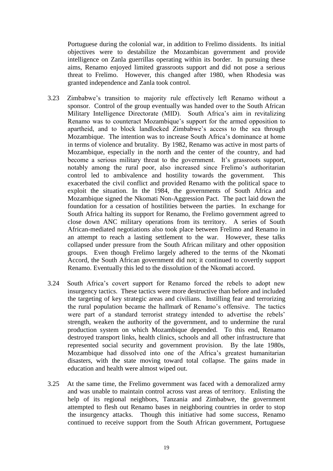Portuguese during the colonial war, in addition to Frelimo dissidents. Its initial objectives were to destabilize the Mozambican government and provide intelligence on Zanla guerrillas operating within its border. In pursuing these aims, Renamo enjoyed limited grassroots support and did not pose a serious threat to Frelimo. However, this changed after 1980, when Rhodesia was granted independence and Zanla took control.

- 3.23 Zimbabwe's transition to majority rule effectively left Renamo without a sponsor. Control of the group eventually was handed over to the South African Military Intelligence Directorate (MID). South Africa's aim in revitalizing Renamo was to counteract Mozambique's support for the armed opposition to apartheid, and to block landlocked Zimbabwe's access to the sea through Mozambique. The intention was to increase South Africa's dominance at home in terms of violence and brutality. By 1982, Renamo was active in most parts of Mozambique, especially in the north and the center of the country, and had become a serious military threat to the government. It's grassroots support, notably among the rural poor, also increased since Frelimo's authoritarian control led to ambivalence and hostility towards the government. This exacerbated the civil conflict and provided Renamo with the political space to exploit the situation. In the 1984, the governments of South Africa and Mozambique signed the Nkomati Non-Aggression Pact. The pact laid down the foundation for a cessation of hostilities between the parties. In exchange for South Africa halting its support for Renamo, the Frelimo government agreed to close down ANC military operations from its territory. A series of South African-mediated negotiations also took place between Frelimo and Renamo in an attempt to reach a lasting settlement to the war. However, these talks collapsed under pressure from the South African military and other opposition groups. Even though Frelimo largely adhered to the terms of the Nkomati Accord, the South African government did not; it continued to covertly support Renamo. Eventually this led to the dissolution of the Nkomati accord.
- 3.24 South Africa's covert support for Renamo forced the rebels to adopt new insurgency tactics. These tactics were more destructive than before and included the targeting of key strategic areas and civilians. Instilling fear and terrorizing the rural population became the hallmark of Renamo's offensive. The tactics were part of a standard terrorist strategy intended to advertise the rebels' strength, weaken the authority of the government, and to undermine the rural production system on which Mozambique depended. To this end, Renamo destroyed transport links, health clinics, schools and all other infrastructure that represented social security and government provision. By the late 1980s, Mozambique had dissolved into one of the Africa's greatest humanitarian disasters, with the state moving toward total collapse. The gains made in education and health were almost wiped out.
- 3.25 At the same time, the Frelimo government was faced with a demoralized army and was unable to maintain control across vast areas of territory. Enlisting the help of its regional neighbors, Tanzania and Zimbabwe, the government attempted to flesh out Renamo bases in neighboring countries in order to stop the insurgency attacks. Though this initiative had some success, Renamo continued to receive support from the South African government, Portuguese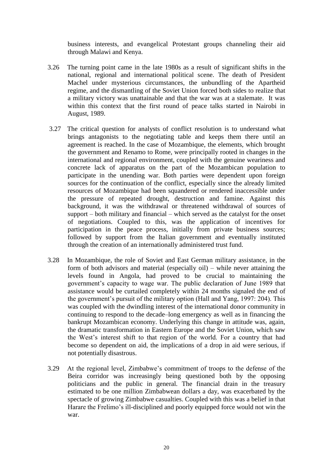business interests, and evangelical Protestant groups channeling their aid through Malawi and Kenya.

- 3.26 The turning point came in the late 1980s as a result of significant shifts in the national, regional and international political scene. The death of President Machel under mysterious circumstances, the unbundling of the Apartheid regime, and the dismantling of the Soviet Union forced both sides to realize that a military victory was unattainable and that the war was at a stalemate. It was within this context that the first round of peace talks started in Nairobi in August, 1989.
- 3.27 The critical question for analysts of conflict resolution is to understand what brings antagonists to the negotiating table and keeps them there until an agreement is reached. In the case of Mozambique, the elements, which brought the government and Renamo to Rome, were principally rooted in changes in the international and regional environment, coupled with the genuine weariness and concrete lack of apparatus on the part of the Mozambican population to participate in the unending war. Both parties were dependent upon foreign sources for the continuation of the conflict, especially since the already limited resources of Mozambique had been squandered or rendered inaccessible under the pressure of repeated drought, destruction and famine. Against this background, it was the withdrawal or threatened withdrawal of sources of support – both military and financial – which served as the catalyst for the onset of negotiations. Coupled to this, was the application of incentives for participation in the peace process, initially from private business sources; followed by support from the Italian government and eventually instituted through the creation of an internationally administered trust fund.
- 3.28 In Mozambique, the role of Soviet and East German military assistance, in the form of both advisors and material (especially oil) – while never attaining the levels found in Angola, had proved to be crucial to maintaining the government's capacity to wage war. The public declaration of June 1989 that assistance would be curtailed completely within 24 months signaled the end of the government's pursuit of the military option (Hall and Yang, 1997: 204). This was coupled with the dwindling interest of the international donor community in continuing to respond to the decade–long emergency as well as in financing the bankrupt Mozambican economy. Underlying this change in attitude was, again, the dramatic transformation in Eastern Europe and the Soviet Union, which saw the West's interest shift to that region of the world. For a country that had become so dependent on aid, the implications of a drop in aid were serious, if not potentially disastrous.
- 3.29 At the regional level, Zimbabwe's commitment of troops to the defense of the Beira corridor was increasingly being questioned both by the opposing politicians and the public in general. The financial drain in the treasury estimated to be one million Zimbabwean dollars a day, was exacerbated by the spectacle of growing Zimbabwe casualties. Coupled with this was a belief in that Harare the Frelimo's ill-disciplined and poorly equipped force would not win the war.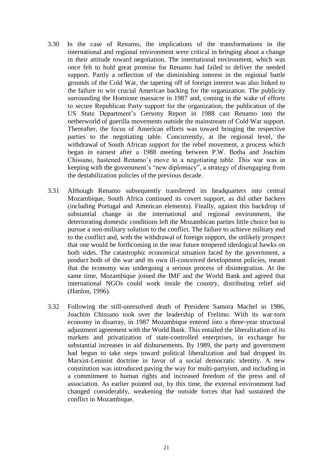- 3.30 In the case of Renamo, the implications of the transformations in the international and regional environment were critical in bringing about a change in their attitude toward negotiation. The international environment, which was once felt to hold great promise for Renamo had failed to deliver the needed support. Partly a reflection of the diminishing interest in the regional battle grounds of the Cold War, the tapering off of foreign interest was also linked to the failure to win crucial American backing for the organization. The publicity surrounding the Homione massacre in 1987 and, coming in the wake of efforts to secure Republican Party support for the organization, the publication of the US State Department's Gersony Report in 1988 cast Renamo into the netherworld of guerilla movements outside the mainstream of Cold War support. Thereafter, the focus of American efforts was toward bringing the respective parties to the negotiating table. Concurrently, at the regional level, the withdrawal of South African support for the rebel movement, a process which began in earnest after a 1988 meeting between P.W. Botha and Joachim Chissano, hastened Renamo's move to a negotiating table. This war was in keeping with the government's "new diplomacy", a strategy of disengaging from the destabilization policies of the previous decade.
- 3.31 Although Renamo subsequently transferred its headquarters into central Mozambique, South Africa continued its covert support, as did other backers (including Portugal and American elements). Finally, against this backdrop of substantial change in the international and regional environment, the deteriorating domestic conditions left the Mozambican parties little choice but to pursue a non-military solution to the conflict. The failure to achieve military end to the conflict and, with the withdrawal of foreign support, the unlikely prospect that one would be forthcoming in the near future tempered ideological hawks on both sides. The catastrophic economical situation faced by the government, a product both of the war and its own ill-conceived development policies, meant that the economy was undergoing a serious process of disintegration. At the same time, Mozambique joined the IMF and the World Bank and agreed that international NGOs could work inside the country, distributing relief aid (Hanlon, 1996).
- 3.32 Following the still-unresolved death of President Samora Machel in 1986, Joachim Chissano took over the leadership of Frelimo. With its war-torn economy in disarray, in 1987 Mozambique entered into a three-year structural adjustment agreement with the World Bank. This entailed the liberalization of its markets and privatization of state-controlled enterprises, in exchange for substantial increases in aid disbursements. By 1989, the party and government had begun to take steps toward political liberalization and had dropped its Marxist-Leninist doctrine in favor of a social democratic identity. A new constitution was introduced paving the way for multi-partyism, and including in a commitment to human rights and increased freedom of the press and of association. As earlier pointed out, by this time, the external environment had changed considerably, weakening the outside forces that had sustained the conflict in Mozambique.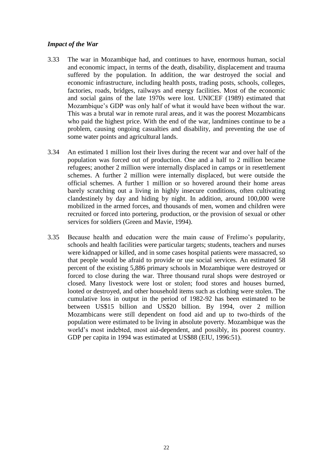### *Impact of the War*

- 3.33 The war in Mozambique had, and continues to have, enormous human, social and economic impact, in terms of the death, disability, displacement and trauma suffered by the population. In addition, the war destroyed the social and economic infrastructure, including health posts, trading posts, schools, colleges, factories, roads, bridges, railways and energy facilities. Most of the economic and social gains of the late 1970s were lost. UNICEF (1989) estimated that Mozambique's GDP was only half of what it would have been without the war. This was a brutal war in remote rural areas, and it was the poorest Mozambicans who paid the highest price. With the end of the war, landmines continue to be a problem, causing ongoing casualties and disability, and preventing the use of some water points and agricultural lands.
- 3.34 An estimated 1 million lost their lives during the recent war and over half of the population was forced out of production. One and a half to 2 million became refugees; another 2 million were internally displaced in camps or in resettlement schemes. A further 2 million were internally displaced, but were outside the official schemes. A further 1 million or so hovered around their home areas barely scratching out a living in highly insecure conditions, often cultivating clandestinely by day and hiding by night. In addition, around 100,000 were mobilized in the armed forces, and thousands of men, women and children were recruited or forced into portering, production, or the provision of sexual or other services for soldiers (Green and Mavie, 1994).
- 3.35 Because health and education were the main cause of Frelimo's popularity, schools and health facilities were particular targets; students, teachers and nurses were kidnapped or killed, and in some cases hospital patients were massacred, so that people would be afraid to provide or use social services. An estimated 58 percent of the existing 5,886 primary schools in Mozambique were destroyed or forced to close during the war. Three thousand rural shops were destroyed or closed. Many livestock were lost or stolen; food stores and houses burned, looted or destroyed, and other household items such as clothing were stolen. The cumulative loss in output in the period of 1982-92 has been estimated to be between US\$15 billion and US\$20 billion. By 1994, over 2 million Mozambicans were still dependent on food aid and up to two-thirds of the population were estimated to be living in absolute poverty. Mozambique was the world's most indebted, most aid-dependent, and possibly, its poorest country. GDP per capita in 1994 was estimated at US\$88 (EIU, 1996:51).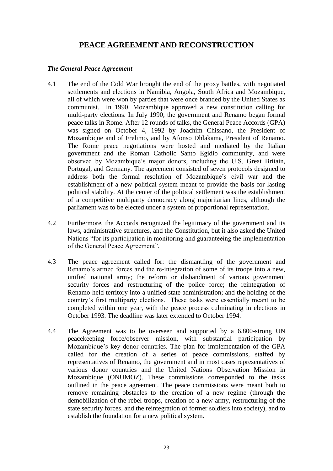# **PEACE AGREEMENT AND RECONSTRUCTION**

## *The General Peace Agreement*

- 4.1 The end of the Cold War brought the end of the proxy battles, with negotiated settlements and elections in Namibia, Angola, South Africa and Mozambique, all of which were won by parties that were once branded by the United States as communist. In 1990, Mozambique approved a new constitution calling for multi-party elections. In July 1990, the government and Renamo began formal peace talks in Rome. After 12 rounds of talks, the General Peace Accords (GPA) was signed on October 4, 1992 by Joachim Chissano, the President of Mozambique and of Frelimo, and by Afonso Dhlakama, President of Renamo. The Rome peace negotiations were hosted and mediated by the Italian government and the Roman Catholic Santo Egidio community, and were observed by Mozambique's major donors, including the U.S, Great Britain, Portugal, and Germany. The agreement consisted of seven protocols designed to address both the formal resolution of Mozambique's civil war and the establishment of a new political system meant to provide the basis for lasting political stability. At the center of the political settlement was the establishment of a competitive multiparty democracy along majoritarian lines, although the parliament was to be elected under a system of proportional representation.
- 4.2 Furthermore, the Accords recognized the legitimacy of the government and its laws, administrative structures, and the Constitution, but it also asked the United Nations "for its participation in monitoring and guaranteeing the implementation of the General Peace Agreement".
- 4.3 The peace agreement called for: the dismantling of the government and Renamo's armed forces and the re-integration of some of its troops into a new, unified national army; the reform or disbandment of various government security forces and restructuring of the police force; the reintegration of Renamo-held territory into a unified state administration; and the holding of the country's first multiparty elections. These tasks were essentially meant to be completed within one year, with the peace process culminating in elections in October 1993. The deadline was later extended to October 1994.
- 4.4 The Agreement was to be overseen and supported by a 6,800-strong UN peacekeeping force/observer mission, with substantial participation by Mozambique's key donor countries. The plan for implementation of the GPA called for the creation of a series of peace commissions, staffed by representatives of Renamo, the government and in most cases representatives of various donor countries and the United Nations Observation Mission in Mozambique (ONUMOZ). These commissions corresponded to the tasks outlined in the peace agreement. The peace commissions were meant both to remove remaining obstacles to the creation of a new regime (through the demobilization of the rebel troops, creation of a new army, restructuring of the state security forces, and the reintegration of former soldiers into society), and to establish the foundation for a new political system.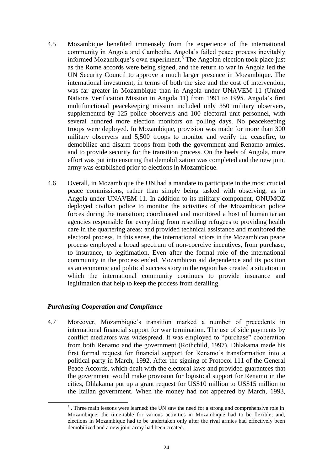- 4.5 Mozambique benefited immensely from the experience of the international community in Angola and Cambodia. Angola's failed peace process inevitably informed Mozambique's own experiment.<sup>5</sup> The Angolan election took place just as the Rome accords were being signed, and the return to war in Angola led the UN Security Council to approve a much larger presence in Mozambique. The international investment, in terms of both the size and the cost of intervention, was far greater in Mozambique than in Angola under UNAVEM 11 (United Nations Verification Mission in Angola 11) from 1991 to 1995. Angola's first multifunctional peacekeeping mission included only 350 military observers, supplemented by 125 police observers and 100 electoral unit personnel, with several hundred more election monitors on polling days. No peacekeeping troops were deployed. In Mozambique, provision was made for more than 300 military observers and 5,500 troops to monitor and verify the ceasefire, to demobilize and disarm troops from both the government and Renamo armies, and to provide security for the transition process. On the heels of Angola, more effort was put into ensuring that demobilization was completed and the new joint army was established prior to elections in Mozambique.
- 4.6 Overall, in Mozambique the UN had a mandate to participate in the most crucial peace commissions, rather than simply being tasked with observing, as in Angola under UNAVEM 11. In addition to its military component, ONUMOZ deployed civilian police to monitor the activities of the Mozambican police forces during the transition; coordinated and monitored a host of humanitarian agencies responsible for everything from resettling refugees to providing health care in the quartering areas; and provided technical assistance and monitored the electoral process. In this sense, the international actors in the Mozambican peace process employed a broad spectrum of non-coercive incentives, from purchase, to insurance, to legitimation. Even after the formal role of the international community in the process ended, Mozambican aid dependence and its position as an economic and political success story in the region has created a situation in which the international community continues to provide insurance and legitimation that help to keep the process from derailing.

# *Purchasing Cooperation and Compliance*

-

4.7 Moreover, Mozambique's transition marked a number of precedents in international financial support for war termination. The use of side payments by conflict mediators was widespread. It was employed to "purchase" cooperation from both Renamo and the government (Rothchild, 1997). Dhlakama made his first formal request for financial support for Renamo's transformation into a political party in March, 1992. After the signing of Protocol 111 of the General Peace Accords, which dealt with the electoral laws and provided guarantees that the government would make provision for logistical support for Renamo in the cities, Dhlakama put up a grant request for US\$10 million to US\$15 million to the Italian government. When the money had not appeared by March, 1993,

<sup>5</sup> . Three main lessons were learned: the UN saw the need for a strong and comprehensive role in Mozambique; the time-table for various activities in Mozambique had to be flexible; and, elections in Mozambique had to be undertaken only after the rival armies had effectively been demobilized and a new joint army had been created.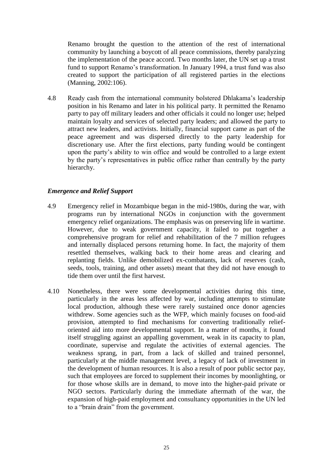Renamo brought the question to the attention of the rest of international community by launching a boycott of all peace commissions, thereby paralyzing the implementation of the peace accord. Two months later, the UN set up a trust fund to support Renamo's transformation. In January 1994, a trust fund was also created to support the participation of all registered parties in the elections (Manning, 2002:106).

4.8 Ready cash from the international community bolstered Dhlakama's leadership position in his Renamo and later in his political party. It permitted the Renamo party to pay off military leaders and other officials it could no longer use; helped maintain loyalty and services of selected party leaders; and allowed the party to attract new leaders, and activists. Initially, financial support came as part of the peace agreement and was dispersed directly to the party leadership for discretionary use. After the first elections, party funding would be contingent upon the party's ability to win office and would be controlled to a large extent by the party's representatives in public office rather than centrally by the party hierarchy.

#### *Emergence and Relief Support*

- 4.9 Emergency relief in Mozambique began in the mid-1980s, during the war, with programs run by international NGOs in conjunction with the government emergency relief organizations. The emphasis was on preserving life in wartime. However, due to weak government capacity, it failed to put together a comprehensive program for relief and rehabilitation of the 7 million refugees and internally displaced persons returning home. In fact, the majority of them resettled themselves, walking back to their home areas and clearing and replanting fields. Unlike demobilized ex-combatants, lack of reserves (cash, seeds, tools, training, and other assets) meant that they did not have enough to tide them over until the first harvest.
- 4.10 Nonetheless, there were some developmental activities during this time, particularly in the areas less affected by war, including attempts to stimulate local production, although these were rarely sustained once donor agencies withdrew. Some agencies such as the WFP, which mainly focuses on food-aid provision, attempted to find mechanisms for converting traditionally relieforiented aid into more developmental support. In a matter of months, it found itself struggling against an appalling government, weak in its capacity to plan, coordinate, supervise and regulate the activities of external agencies. The weakness sprang, in part, from a lack of skilled and trained personnel, particularly at the middle management level, a legacy of lack of investment in the development of human resources. It is also a result of poor public sector pay, such that employees are forced to supplement their incomes by moonlighting, or for those whose skills are in demand, to move into the higher-paid private or NGO sectors. Particularly during the immediate aftermath of the war, the expansion of high-paid employment and consultancy opportunities in the UN led to a "brain drain" from the government.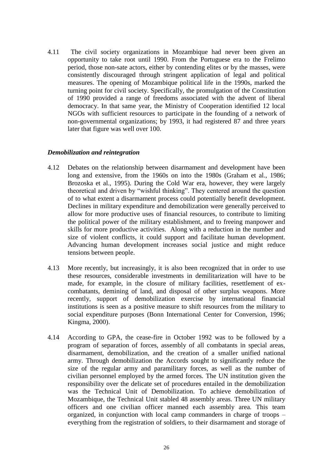4.11 The civil society organizations in Mozambique had never been given an opportunity to take root until 1990. From the Portuguese era to the Frelimo period, those non-sate actors, either by contending elites or by the masses, were consistently discouraged through stringent application of legal and political measures. The opening of Mozambique political life in the 1990s, marked the turning point for civil society. Specifically, the promulgation of the Constitution of 1990 provided a range of freedoms associated with the advent of liberal democracy. In that same year, the Ministry of Cooperation identified 12 local NGOs with sufficient resources to participate in the founding of a network of non-governmental organizations; by 1993, it had registered 87 and three years later that figure was well over 100.

#### *Demobilization and reintegration*

- 4.12 Debates on the relationship between disarmament and development have been long and extensive, from the 1960s on into the 1980s (Graham et al., 1986; Brozoska et al., 1995). During the Cold War era, however, they were largely theoretical and driven by "wishful thinking". They centered around the question of to what extent a disarmament process could potentially benefit development. Declines in military expenditure and demobilization were generally perceived to allow for more productive uses of financial resources, to contribute to limiting the political power of the military establishment, and to freeing manpower and skills for more productive activities. Along with a reduction in the number and size of violent conflicts, it could support and facilitate human development. Advancing human development increases social justice and might reduce tensions between people.
- 4.13 More recently, but increasingly, it is also been recognized that in order to use these resources, considerable investments in demilitarization will have to be made, for example, in the closure of military facilities, resettlement of excombatants, demining of land, and disposal of other surplus weapons. More recently, support of demobilization exercise by international financial institutions is seen as a positive measure to shift resources from the military to social expenditure purposes (Bonn International Center for Conversion, 1996; Kingma, 2000).
- 4.14 According to GPA, the cease-fire in October 1992 was to be followed by a program of separation of forces, assembly of all combatants in special areas, disarmament, demobilization, and the creation of a smaller unified national army. Through demobilization the Accords sought to significantly reduce the size of the regular army and paramilitary forces, as well as the number of civilian personnel employed by the armed forces. The UN institution given the responsibility over the delicate set of procedures entailed in the demobilization was the Technical Unit of Demobilization. To achieve demobilization of Mozambique, the Technical Unit stabled 48 assembly areas. Three UN military officers and one civilian officer manned each assembly area. This team organized, in conjunction with local camp commanders in charge of troops – everything from the registration of soldiers, to their disarmament and storage of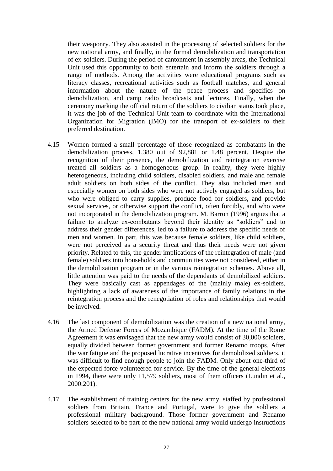their weaponry. They also assisted in the processing of selected soldiers for the new national army, and finally, in the formal demobilization and transportation of ex-soldiers. During the period of cantonment in assembly areas, the Technical Unit used this opportunity to both entertain and inform the soldiers through a range of methods. Among the activities were educational programs such as literacy classes, recreational activities such as football matches, and general information about the nature of the peace process and specifics on demobilization, and camp radio broadcasts and lectures. Finally, when the ceremony marking the official return of the soldiers to civilian status took place, it was the job of the Technical Unit team to coordinate with the International Organization for Migration (IMO) for the transport of ex-soldiers to their preferred destination.

- 4.15 Women formed a small percentage of those recognized as combatants in the demobilization process, 1,380 out of 92,881 or 1.48 percent. Despite the recognition of their presence, the demobilization and reintegration exercise treated all soldiers as a homogeneous group. In reality, they were highly heterogeneous, including child soldiers, disabled soldiers, and male and female adult soldiers on both sides of the conflict. They also included men and especially women on both sides who were not actively engaged as soldiers, but who were obliged to carry supplies, produce food for soldiers, and provide sexual services, or otherwise support the conflict, often forcibly, and who were not incorporated in the demobilization program. M. Barron (1996) argues that a failure to analyze ex-combatants beyond their identity as "soldiers" and to address their gender differences, led to a failure to address the specific needs of men and women. In part, this was because female soldiers, like child soldiers, were not perceived as a security threat and thus their needs were not given priority. Related to this, the gender implications of the reintegration of male (and female) soldiers into households and communities were not considered, either in the demobilization program or in the various reintegration schemes. Above all, little attention was paid to the needs of the dependants of demobilized soldiers. They were basically cast as appendages of the (mainly male) ex-soldiers, highlighting a lack of awareness of the importance of family relations in the reintegration process and the renegotiation of roles and relationships that would be involved.
- 4.16 The last component of demobilization was the creation of a new national army, the Armed Defense Forces of Mozambique (FADM). At the time of the Rome Agreement it was envisaged that the new army would consist of 30,000 soldiers, equally divided between former government and former Renamo troops. After the war fatigue and the proposed lucrative incentives for demobilized soldiers, it was difficult to find enough people to join the FADM. Only about one-third of the expected force volunteered for service. By the time of the general elections in 1994, there were only 11,579 soldiers, most of them officers (Lundin et al., 2000:201).
- 4.17 The establishment of training centers for the new army, staffed by professional soldiers from Britain, France and Portugal, were to give the soldiers a professional military background. Those former government and Renamo soldiers selected to be part of the new national army would undergo instructions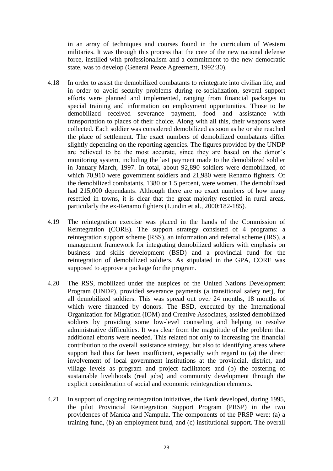in an array of techniques and courses found in the curriculum of Western militaries. It was through this process that the core of the new national defense force, instilled with professionalism and a commitment to the new democratic state, was to develop (General Peace Agreement, 1992:30).

- 4.18 In order to assist the demobilized combatants to reintegrate into civilian life, and in order to avoid security problems during re-socialization, several support efforts were planned and implemented, ranging from financial packages to special training and information on employment opportunities. Those to be demobilized received severance payment, food and assistance with transportation to places of their choice. Along with all this, their weapons were collected. Each soldier was considered demobilized as soon as he or she reached the place of settlement. The exact numbers of demobilized combatants differ slightly depending on the reporting agencies. The figures provided by the UNDP are believed to be the most accurate, since they are based on the donor's monitoring system, including the last payment made to the demobilized soldier in January-March, 1997. In total, about 92,890 soldiers were demobilized, of which 70,910 were government soldiers and 21,980 were Renamo fighters. Of the demobilized combatants, 1380 or 1.5 percent, were women. The demobilized had 215,000 dependants. Although there are no exact numbers of how many resettled in towns, it is clear that the great majority resettled in rural areas, particularly the ex-Renamo fighters (Lundin et al., 2000:182-185).
- 4.19 The reintegration exercise was placed in the hands of the Commission of Reintegration (CORE). The support strategy consisted of 4 programs: a reintegration support scheme (RSS), an information and referral scheme (IRS), a management framework for integrating demobilized soldiers with emphasis on business and skills development (BSD) and a provincial fund for the reintegration of demobilized soldiers. As stipulated in the GPA, CORE was supposed to approve a package for the program.
- 4.20 The RSS, mobilized under the auspices of the United Nations Development Program (UNDP), provided severance payments (a transitional safety net), for all demobilized soldiers. This was spread out over 24 months, 18 months of which were financed by donors. The BSD, executed by the International Organization for Migration (IOM) and Creative Associates, assisted demobilized soldiers by providing some low-level counseling and helping to resolve administrative difficulties. It was clear from the magnitude of the problem that additional efforts were needed. This related not only to increasing the financial contribution to the overall assistance strategy, but also to identifying areas where support had thus far been insufficient, especially with regard to (a) the direct involvement of local government institutions at the provincial, district, and village levels as program and project facilitators and (b) the fostering of sustainable livelihoods (real jobs) and community development through the explicit consideration of social and economic reintegration elements.
- 4.21 In support of ongoing reintegration initiatives, the Bank developed, during 1995, the pilot Provincial Reintegration Support Program (PRSP) in the two providences of Manica and Nampula. The components of the PRSP were: (a) a training fund, (b) an employment fund, and (c) institutional support. The overall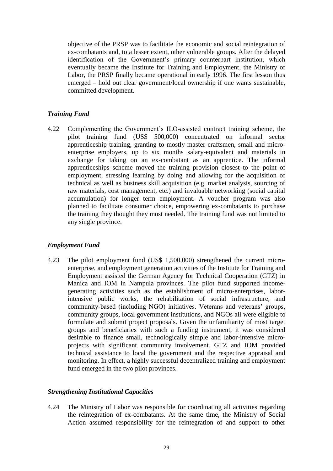objective of the PRSP was to facilitate the economic and social reintegration of ex-combatants and, to a lesser extent, other vulnerable groups. After the delayed identification of the Government's primary counterpart institution, which eventually became the Institute for Training and Employment, the Ministry of Labor, the PRSP finally became operational in early 1996. The first lesson thus emerged – hold out clear government/local ownership if one wants sustainable, committed development.

# *Training Fund*

4.22 Complementing the Government's ILO-assisted contract training scheme, the pilot training fund (US\$ 500,000) concentrated on informal sector apprenticeship training, granting to mostly master craftsmen, small and microenterprise employers, up to six months salary-equivalent and materials in exchange for taking on an ex-combatant as an apprentice. The informal apprenticeships scheme moved the training provision closest to the point of employment, stressing learning by doing and allowing for the acquisition of technical as well as business skill acquisition (e.g. market analysis, sourcing of raw materials, cost management, etc.) and invaluable networking (social capital accumulation) for longer term employment. A voucher program was also planned to facilitate consumer choice, empowering ex-combatants to purchase the training they thought they most needed. The training fund was not limited to any single province.

# *Employment Fund*

4.23 The pilot employment fund (US\$ 1,500,000) strengthened the current microenterprise, and employment generation activities of the Institute for Training and Employment assisted the German Agency for Technical Cooperation (GTZ) in Manica and IOM in Nampula provinces. The pilot fund supported incomegenerating activities such as the establishment of micro-enterprises, laborintensive public works, the rehabilitation of social infrastructure, and community-based (including NGO) initiatives. Veterans and veterans' groups, community groups, local government institutions, and NGOs all were eligible to formulate and submit project proposals. Given the unfamiliarity of most target groups and beneficiaries with such a funding instrument, it was considered desirable to finance small, technologically simple and labor-intensive microprojects with significant community involvement. GTZ and IOM provided technical assistance to local the government and the respective appraisal and monitoring. In effect, a highly successful decentralized training and employment fund emerged in the two pilot provinces.

# *Strengthening Institutional Capacities*

4.24 The Ministry of Labor was responsible for coordinating all activities regarding the reintegration of ex-combatants. At the same time, the Ministry of Social Action assumed responsibility for the reintegration of and support to other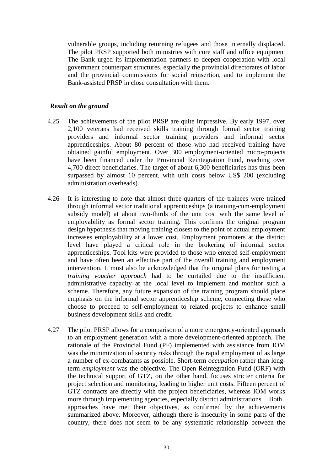vulnerable groups, including returning refugees and those internally displaced. The pilot PRSP supported both ministries with core staff and office equipment The Bank urged its implementation partners to deepen cooperation with local government counterpart structures, especially the provincial directorates of labor and the provincial commissions for social reinsertion, and to implement the Bank-assisted PRSP in close consultation with them.

#### *Result on the ground*

- 4.25 The achievements of the pilot PRSP are quite impressive. By early 1997, over 2,100 veterans had received skills training through formal sector training providers and informal sector training providers and informal sector apprenticeships. About 80 percent of those who had received training have obtained gainful employment. Over 300 employment-oriented micro-projects have been financed under the Provincial Reintegration Fund, reaching over 4,700 direct beneficiaries. The target of about 6,300 beneficiaries has thus been surpassed by almost 10 percent, with unit costs below US\$ 200 (excluding administration overheads).
- 4.26 It is interesting to note that almost three-quarters of the trainees were trained through informal sector traditional apprenticeships (a training-cum-employment subsidy model) at about two-thirds of the unit cost with the same level of employability as formal sector training. This confirms the original program design hypothesis that moving training closest to the point of actual employment increases employability at a lower cost. Employment promoters at the district level have played a critical role in the brokering of informal sector apprenticeships. Tool kits were provided to those who entered self-employment and have often been an effective part of the overall training and employment intervention. It must also be acknowledged that the original plans for testing a *training voucher approach* had to be curtailed due to the insufficient administrative capacity at the local level to implement and monitor such a scheme. Therefore, any future expansion of the training program should place emphasis on the informal sector apprenticeship scheme, connecting those who choose to proceed to self-employment to related projects to enhance small business development skills and credit.
- 4.27 The pilot PRSP allows for a comparison of a more emergency-oriented approach to an employment generation with a more development-oriented approach. The rationale of the Provincial Fund (PF) implemented with assistance from IOM was the minimization of security risks through the rapid employment of as large a number of ex-combatants as possible. Short-term *occupation* rather than longterm *employment* was the objective. The Open Reintegration Fund (ORF) with the technical support of GTZ, on the other hand, focuses stricter criteria for project selection and monitoring, leading to higher unit costs. Fifteen percent of GTZ contracts are directly with the project beneficiaries, whereas IOM works more through implementing agencies, especially district administrations. Both approaches have met their objectives, as confirmed by the achievements summarized above. Moreover, although there is insecurity in some parts of the country, there does not seem to be any systematic relationship between the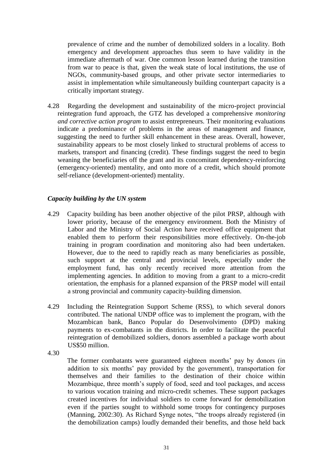prevalence of crime and the number of demobilized solders in a locality. Both emergency and development approaches thus seem to have validity in the immediate aftermath of war. One common lesson learned during the transition from war to peace is that, given the weak state of local institutions, the use of NGOs, community-based groups, and other private sector intermediaries to assist in implementation while simultaneously building counterpart capacity is a critically important strategy.

4.28 Regarding the development and sustainability of the micro-project provincial reintegration fund approach, the GTZ has developed a comprehensive *monitoring and corrective action program* to assist entrepreneurs. Their monitoring evaluations indicate a predominance of problems in the areas of management and finance, suggesting the need to further skill enhancement in these areas. Overall, however, sustainability appears to be most closely linked to structural problems of access to markets, transport and financing (credit). These findings suggest the need to begin weaning the beneficiaries off the grant and its concomitant dependency-reinforcing (emergency-oriented) mentality, and onto more of a credit, which should promote self-reliance (development-oriented) mentality.

# *Capacity building by the UN system*

- 4.29 Capacity building has been another objective of the pilot PRSP, although with lower priority, because of the emergency environment. Both the Ministry of Labor and the Ministry of Social Action have received office equipment that enabled them to perform their responsibilities more effectively. On-the-job training in program coordination and monitoring also had been undertaken. However, due to the need to rapidly reach as many beneficiaries as possible, such support at the central and provincial levels, especially under the employment fund, has only recently received more attention from the implementing agencies. In addition to moving from a grant to a micro-credit orientation, the emphasis for a planned expansion of the PRSP model will entail a strong provincial and community capacity-building dimension.
- 4.29 Including the Reintegration Support Scheme (RSS), to which several donors contributed. The national UNDP office was to implement the program, with the Mozambican bank, Banco Popular do Desenvolvimento (DPD) making payments to ex-combatants in the districts. In order to facilitate the peaceful reintegration of demobilized soldiers, donors assembled a package worth about US\$50 million.
- 4.30

The former combatants were guaranteed eighteen months' pay by donors (in addition to six months' pay provided by the government), transportation for themselves and their families to the destination of their choice within Mozambique, three month's supply of food, seed and tool packages, and access to various vocation training and micro-credit schemes. These support packages created incentives for individual soldiers to come forward for demobilization even if the parties sought to withhold some troops for contingency purposes (Manning, 2002:30). As Richard Synge notes, "the troops already registered (in the demobilization camps) loudly demanded their benefits, and those held back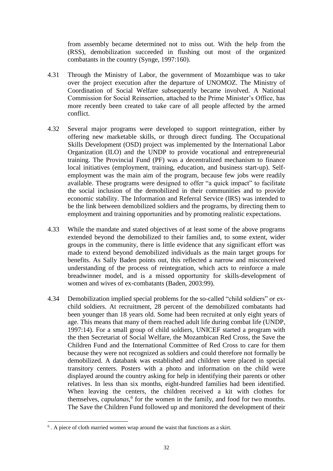from assembly became determined not to miss out. With the help from the (RSS), demobilization succeeded in flushing out most of the organized combatants in the country (Synge, 1997:160).

- 4.31 Through the Ministry of Labor, the government of Mozambique was to take over the project execution after the departure of UNOMOZ. The Ministry of Coordination of Social Welfare subsequently became involved. A National Commission for Social Reinsertion, attached to the Prime Minister's Office, has more recently been created to take care of all people affected by the armed conflict.
- 4.32 Several major programs were developed to support reintegration, either by offering new marketable skills, or through direct funding. The Occupational Skills Development (OSD) project was implemented by the International Labor Organization (ILO) and the UNDP to provide vocational and entrepreneurial training. The Provincial Fund (PF) was a decentralized mechanism to finance local initiatives (employment, training, education, and business start-up). Selfemployment was the main aim of the program, because few jobs were readily available. These programs were designed to offer "a quick impact" to facilitate the social inclusion of the demobilized in their communities and to provide economic stability. The Information and Referral Service (IRS) was intended to be the link between demobilized soldiers and the programs, by directing them to employment and training opportunities and by promoting realistic expectations.
- 4.33 While the mandate and stated objectives of at least some of the above programs extended beyond the demobilized to their families and, to some extent, wider groups in the community, there is little evidence that any significant effort was made to extend beyond demobilized individuals as the main target groups for benefits. As Sally Baden points out, this reflected a narrow and misconceived understanding of the process of reintegration, which acts to reinforce a male breadwinner model, and is a missed opportunity for skills-development of women and wives of ex-combatants (Baden, 2003:99).
- 4.34 Demobilization implied special problems for the so-called "child soldiers" or exchild soldiers. At recruitment, 28 percent of the demobilized combatants had been younger than 18 years old. Some had been recruited at only eight years of age. This means that many of them reached adult life during combat life (UNDP, 1997:14). For a small group of child soldiers, UNICEF started a program with the then Secretariat of Social Welfare, the Mozambican Red Cross, the Save the Children Fund and the International Committee of Red Cross to care for them because they were not recognized as soldiers and could therefore not formally be demobilized. A databank was established and children were placed in special transitory centers. Posters with a photo and information on the child were displayed around the country asking for help in identifying their parents or other relatives. In less than six months, eight-hundred families had been identified. When leaving the centers, the children received a kit with clothes for themselves, *capulanas,<sup>6</sup>* for the women in the family, and food for two months. The Save the Children Fund followed up and monitored the development of their

-

<sup>&</sup>lt;sup>6</sup>. A piece of cloth married women wrap around the waist that functions as a skirt.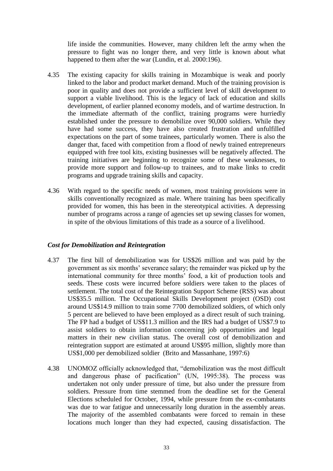life inside the communities. However, many children left the army when the pressure to fight was no longer there, and very little is known about what happened to them after the war (Lundin, et al. 2000:196).

- 4.35 The existing capacity for skills training in Mozambique is weak and poorly linked to the labor and product market demand. Much of the training provision is poor in quality and does not provide a sufficient level of skill development to support a viable livelihood. This is the legacy of lack of education and skills development, of earlier planned economy models, and of wartime destruction. In the immediate aftermath of the conflict, training programs were hurriedly established under the pressure to demobilize over 90,000 soldiers. While they have had some success, they have also created frustration and unfulfilled expectations on the part of some trainees, particularly women. There is also the danger that, faced with competition from a flood of newly trained entrepreneurs equipped with free tool kits, existing businesses will be negatively affected. The training initiatives are beginning to recognize some of these weaknesses, to provide more support and follow-up to trainees, and to make links to credit programs and upgrade training skills and capacity.
- 4.36 With regard to the specific needs of women, most training provisions were in skills conventionally recognized as male. Where training has been specifically provided for women, this has been in the stereotypical activities. A depressing number of programs across a range of agencies set up sewing classes for women, in spite of the obvious limitations of this trade as a source of a livelihood.

# *Cost for Demobilization and Reintegration*

- 4.37 The first bill of demobilization was for US\$26 million and was paid by the government as six months' severance salary; the remainder was picked up by the international community for three months' food, a kit of production tools and seeds. These costs were incurred before soldiers were taken to the places of settlement. The total cost of the Reintegration Support Scheme (RSS) was about US\$35.5 million. The Occupational Skills Development project (OSD) cost around US\$14.9 million to train some 7700 demobilized soldiers, of which only 5 percent are believed to have been employed as a direct result of such training. The FP had a budget of US\$11.3 million and the IRS had a budget of US\$7.9 to assist soldiers to obtain information concerning job opportunities and legal matters in their new civilian status. The overall cost of demobilization and reintegration support are estimated at around US\$95 million, slightly more than US\$1,000 per demobilized soldier (Brito and Massanhane, 1997:6)
- 4.38 UNOMOZ officially acknowledged that, "demobilization was the most difficult and dangerous phase of pacification" (UN, 1995:38). The process was undertaken not only under pressure of time, but also under the pressure from soldiers. Pressure from time stemmed from the deadline set for the General Elections scheduled for October, 1994, while pressure from the ex-combatants was due to war fatigue and unnecessarily long duration in the assembly areas. The majority of the assembled combatants were forced to remain in these locations much longer than they had expected, causing dissatisfaction. The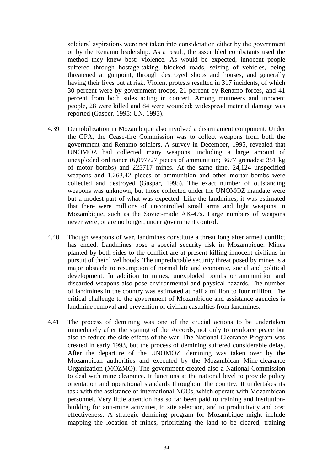soldiers' aspirations were not taken into consideration either by the government or by the Renamo leadership. As a result, the assembled combatants used the method they knew best: violence. As would be expected, innocent people suffered through hostage-taking, blocked roads, seizing of vehicles, being threatened at gunpoint, through destroyed shops and houses, and generally having their lives put at risk. Violent protests resulted in 317 incidents, of which 30 percent were by government troops, 21 percent by Renamo forces, and 41 percent from both sides acting in concert. Among mutineers and innocent people, 28 were killed and 84 were wounded; widespread material damage was reported (Gasper, 1995; UN, 1995).

- 4.39 Demobilization in Mozambique also involved a disarmament component. Under the GPA, the Cease-fire Commission was to collect weapons from both the government and Renamo soldiers. A survey in December, 1995, revealed that UNOMOZ had collected many weapons, including a large amount of unexploded ordinance (6,097727 pieces of ammunition; 3677 grenades; 351 kg of motor bombs) and 225717 mines. At the same time, 24,124 unspecified weapons and 1,263,42 pieces of ammunition and other mortar bombs were collected and destroyed (Gaspar, 1995). The exact number of outstanding weapons was unknown, but those collected under the UNOMOZ mandate were but a modest part of what was expected. Like the landmines, it was estimated that there were millions of uncontrolled small arms and light weapons in Mozambique, such as the Soviet-made AK-47s. Large numbers of weapons never were, or are no longer, under government control.
- 4.40 Though weapons of war, landmines constitute a threat long after armed conflict has ended. Landmines pose a special security risk in Mozambique. Mines planted by both sides to the conflict are at present killing innocent civilians in pursuit of their livelihoods. The unpredictable security threat posed by mines is a major obstacle to resumption of normal life and economic, social and political development. In addition to mines, unexploded bombs or ammunition and discarded weapons also pose environmental and physical hazards. The number of landmines in the country was estimated at half a million to four million. The critical challenge to the government of Mozambique and assistance agencies is landmine removal and prevention of civilian casualties from landmines.
- 4.41 The process of demining was one of the crucial actions to be undertaken immediately after the signing of the Accords, not only to reinforce peace but also to reduce the side effects of the war. The National Clearance Program was created in early 1993, but the process of demining suffered considerable delay. After the departure of the UNOMOZ, demining was taken over by the Mozambican authorities and executed by the Mozambican Mine-clearance Organization (MOZMO). The government created also a National Commission to deal with mine clearance. It functions at the national level to provide policy orientation and operational standards throughout the country. It undertakes its task with the assistance of international NGOs, which operate with Mozambican personnel. Very little attention has so far been paid to training and institutionbuilding for anti-mine activities, to site selection, and to productivity and cost effectiveness. A strategic demining program for Mozambique might include mapping the location of mines, prioritizing the land to be cleared, training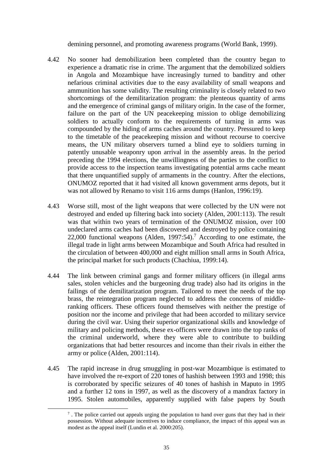demining personnel, and promoting awareness programs (World Bank, 1999).

- 4.42 No sooner had demobilization been completed than the country began to experience a dramatic rise in crime. The argument that the demobilized soldiers in Angola and Mozambique have increasingly turned to banditry and other nefarious criminal activities due to the easy availability of small weapons and ammunition has some validity. The resulting criminality is closely related to two shortcomings of the demilitarization program: the plenteous quantity of arms and the emergence of criminal gangs of military origin. In the case of the former, failure on the part of the UN peacekeeping mission to oblige demobilizing soldiers to actually conform to the requirements of turning in arms was compounded by the hiding of arms caches around the country. Pressured to keep to the timetable of the peacekeeping mission and without recourse to coercive means, the UN military observers turned a blind eye to soldiers turning in patently unusable weaponry upon arrival in the assembly areas. In the period preceding the 1994 elections, the unwillingness of the parties to the conflict to provide access to the inspection teams investigating potential arms cache meant that there unquantified supply of armaments in the country. After the elections, ONUMOZ reported that it had visited all known government arms depots, but it was not allowed by Renamo to visit 116 arms dumps (Hanlon, 1996:19).
- 4.43 Worse still, most of the light weapons that were collected by the UN were not destroyed and ended up filtering back into society (Alden, 2001:113). The result was that within two years of termination of the ONUMOZ mission, over 100 undeclared arms caches had been discovered and destroyed by police containing 22,000 functional weapons (Alden, 1997:54).<sup>7</sup> According to one estimate, the illegal trade in light arms between Mozambique and South Africa had resulted in the circulation of between 400,000 and eight million small arms in South Africa, the principal market for such products (Chachiua, 1999:14).
- 4.44 The link between criminal gangs and former military officers (in illegal arms sales, stolen vehicles and the burgeoning drug trade) also had its origins in the failings of the demilitarization program. Tailored to meet the needs of the top brass, the reintegration program neglected to address the concerns of middleranking officers. These officers found themselves with neither the prestige of position nor the income and privilege that had been accorded to military service during the civil war. Using their superior organizational skills and knowledge of military and policing methods, these ex-officers were drawn into the top ranks of the criminal underworld, where they were able to contribute to building organizations that had better resources and income than their rivals in either the army or police (Alden, 2001:114).
- 4.45 The rapid increase in drug smuggling in post-war Mozambique is estimated to have involved the re-export of 220 tones of hashish between 1993 and 1998; this is corroborated by specific seizures of 40 tones of hashish in Maputo in 1995 and a further 12 tons in 1997, as well as the discovery of a mandrax factory in 1995. Stolen automobiles, apparently supplied with false papers by South

1

<sup>&</sup>lt;sup>7</sup>. The police carried out appeals urging the population to hand over guns that they had in their possession. Without adequate incentives to induce compliance, the impact of this appeal was as modest as the appeal itself (Lundin et al. 2000:205).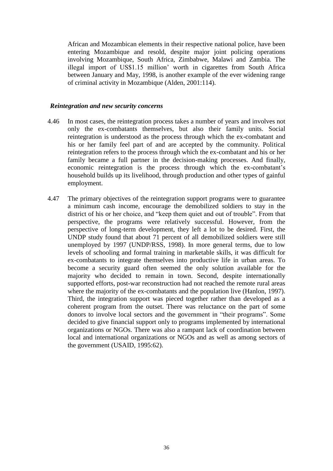African and Mozambican elements in their respective national police, have been entering Mozambique and resold, despite major joint policing operations involving Mozambique, South Africa, Zimbabwe, Malawi and Zambia. The illegal import of US\$1.15 million' worth in cigarettes from South Africa between January and May, 1998, is another example of the ever widening range of criminal activity in Mozambique (Alden, 2001:114).

#### *Reintegration and new security concerns*

- 4.46 In most cases, the reintegration process takes a number of years and involves not only the ex-combatants themselves, but also their family units. Social reintegration is understood as the process through which the ex-combatant and his or her family feel part of and are accepted by the community. Political reintegration refers to the process through which the ex-combatant and his or her family became a full partner in the decision-making processes. And finally, economic reintegration is the process through which the ex-combatant's household builds up its livelihood, through production and other types of gainful employment.
- 4.47 The primary objectives of the reintegration support programs were to guarantee a minimum cash income, encourage the demobilized soldiers to stay in the district of his or her choice, and "keep them quiet and out of trouble". From that perspective, the programs were relatively successful. However, from the perspective of long-term development, they left a lot to be desired. First, the UNDP study found that about 71 percent of all demobilized soldiers were still unemployed by 1997 (UNDP/RSS, 1998). In more general terms, due to low levels of schooling and formal training in marketable skills, it was difficult for ex-combatants to integrate themselves into productive life in urban areas. To become a security guard often seemed the only solution available for the majority who decided to remain in town. Second, despite internationally supported efforts, post-war reconstruction had not reached the remote rural areas where the majority of the ex-combatants and the population live (Hanlon, 1997). Third, the integration support was pieced together rather than developed as a coherent program from the outset. There was reluctance on the part of some donors to involve local sectors and the government in "their programs". Some decided to give financial support only to programs implemented by international organizations or NGOs. There was also a rampant lack of coordination between local and international organizations or NGOs and as well as among sectors of the government (USAID, 1995:62).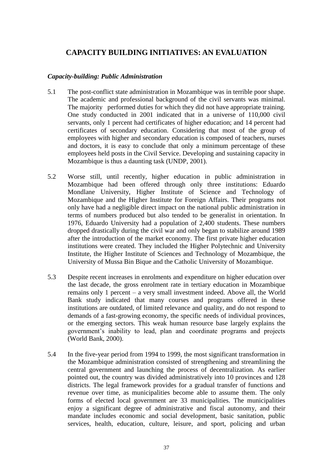# **CAPACITY BUILDING INITIATIVES: AN EVALUATION**

## *Capacity-building: Public Administration*

- 5.1 The post-conflict state administration in Mozambique was in terrible poor shape. The academic and professional background of the civil servants was minimal. The majority performed duties for which they did not have appropriate training. One study conducted in 2001 indicated that in a universe of 110,000 civil servants, only 1 percent had certificates of higher education; and 14 percent had certificates of secondary education. Considering that most of the group of employees with higher and secondary education is composed of teachers, nurses and doctors, it is easy to conclude that only a minimum percentage of these employees held posts in the Civil Service. Developing and sustaining capacity in Mozambique is thus a daunting task (UNDP, 2001).
- 5.2 Worse still, until recently, higher education in public administration in Mozambique had been offered through only three institutions: Eduardo Mondlane University, Higher Institute of Science and Technology of Mozambique and the Higher Institute for Foreign Affairs. Their programs not only have had a negligible direct impact on the national public administration in terms of numbers produced but also tended to be generalist in orientation. In 1976, Eduardo University had a population of 2,400 students. These numbers dropped drastically during the civil war and only began to stabilize around 1989 after the introduction of the market economy. The first private higher education institutions were created. They included the Higher Polytechnic and University Institute, the Higher Institute of Sciences and Technology of Mozambique, the University of Mussa Bin Bique and the Catholic University of Mozambique.
- 5.3 Despite recent increases in enrolments and expenditure on higher education over the last decade, the gross enrolment rate in tertiary education in Mozambique remains only 1 percent – a very small investment indeed. Above all, the World Bank study indicated that many courses and programs offered in these institutions are outdated, of limited relevance and quality, and do not respond to demands of a fast-growing economy, the specific needs of individual provinces, or the emerging sectors. This weak human resource base largely explains the government's inability to lead, plan and coordinate programs and projects (World Bank, 2000).
- 5.4 In the five-year period from 1994 to 1999, the most significant transformation in the Mozambique administration consisted of strengthening and streamlining the central government and launching the process of decentralization. As earlier pointed out, the country was divided administratively into 10 provinces and 128 districts. The legal framework provides for a gradual transfer of functions and revenue over time, as municipalities become able to assume them. The only forms of elected local government are 33 municipalities. The municipalities enjoy a significant degree of administrative and fiscal autonomy, and their mandate includes economic and social development, basic sanitation, public services, health, education, culture, leisure, and sport, policing and urban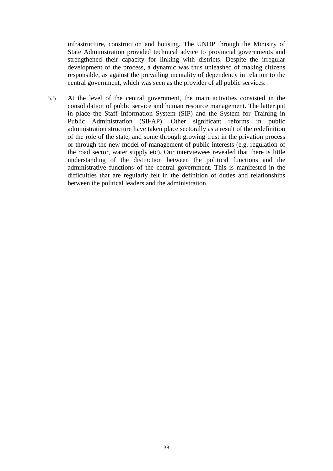infrastructure, construction and housing. The UNDP through the Ministry of State Administration provided technical advice to provincial governments and strengthened their capacity for linking with districts. Despite the irregular development of the process, a dynamic was thus unleashed of making citizens responsible, as against the prevailing mentality of dependency in relation to the central government, which was seen as the provider of all public services.

5.5 At the level of the central government, the main activities consisted in the consolidation of public service and human resource management. The latter put in place the Staff Information System (SIP) and the System for Training in Public Administration (SIFAP). Other significant reforms in public administration structure have taken place sectorally as a result of the redefinition of the role of the state, and some through growing trust in the privation process or through the new model of management of public interests (e.g. regulation of the road sector, water supply etc). Our interviewees revealed that there is little understanding of the distinction between the political functions and the administrative functions of the central government. This is manifested in the difficulties that are regularly felt in the definition of duties and relationships between the political leaders and the administration.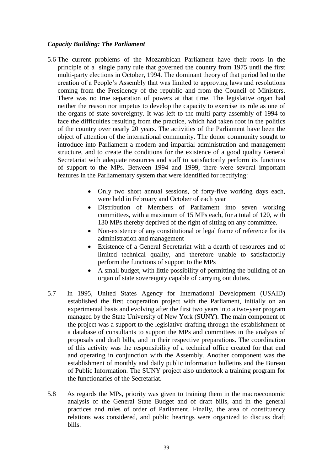#### *Capacity Building: The Parliament*

- 5.6 The current problems of the Mozambican Parliament have their roots in the principle of a single party rule that governed the country from 1975 until the first multi-party elections in October, 1994. The dominant theory of that period led to the creation of a People's Assembly that was limited to approving laws and resolutions coming from the Presidency of the republic and from the Council of Ministers. There was no true separation of powers at that time. The legislative organ had neither the reason nor impetus to develop the capacity to exercise its role as one of the organs of state sovereignty. It was left to the multi-party assembly of 1994 to face the difficulties resulting from the practice, which had taken root in the politics of the country over nearly 20 years. The activities of the Parliament have been the object of attention of the international community. The donor community sought to introduce into Parliament a modern and impartial administration and management structure, and to create the conditions for the existence of a good quality General Secretariat with adequate resources and staff to satisfactorily perform its functions of support to the MPs. Between 1994 and 1999, there were several important features in the Parliamentary system that were identified for rectifying:
	- Only two short annual sessions, of forty-five working days each, were held in February and October of each year
	- Distribution of Members of Parliament into seven working committees, with a maximum of 15 MPs each, for a total of 120, with 130 MPs thereby deprived of the right of sitting on any committee.
	- Non-existence of any constitutional or legal frame of reference for its administration and management
	- Existence of a General Secretariat with a dearth of resources and of limited technical quality, and therefore unable to satisfactorily perform the functions of support to the MPs
	- A small budget, with little possibility of permitting the building of an organ of state sovereignty capable of carrying out duties.
- 5.7 In 1995, United States Agency for International Development (USAID) established the first cooperation project with the Parliament, initially on an experimental basis and evolving after the first two years into a two-year program managed by the State University of New York (SUNY). The main component of the project was a support to the legislative drafting through the establishment of a database of consultants to support the MPs and committees in the analysis of proposals and draft bills, and in their respective preparations. The coordination of this activity was the responsibility of a technical office created for that end and operating in conjunction with the Assembly. Another component was the establishment of monthly and daily public information bulletins and the Bureau of Public Information. The SUNY project also undertook a training program for the functionaries of the Secretariat.
- 5.8 As regards the MPs, priority was given to training them in the macroeconomic analysis of the General State Budget and of draft bills, and in the general practices and rules of order of Parliament. Finally, the area of constituency relations was considered, and public hearings were organized to discuss draft bills.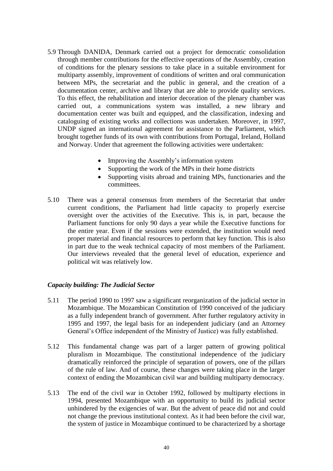- 5.9 Through DANIDA, Denmark carried out a project for democratic consolidation through member contributions for the effective operations of the Assembly, creation of conditions for the plenary sessions to take place in a suitable environment for multiparty assembly, improvement of conditions of written and oral communication between MPs, the secretariat and the public in general, and the creation of a documentation center, archive and library that are able to provide quality services. To this effect, the rehabilitation and interior decoration of the plenary chamber was carried out, a communications system was installed, a new library and documentation center was built and equipped, and the classification, indexing and cataloguing of existing works and collections was undertaken. Moreover, in 1997, UNDP signed an international agreement for assistance to the Parliament, which brought together funds of its own with contributions from Portugal, Ireland, Holland and Norway. Under that agreement the following activities were undertaken:
	- Improving the Assembly's information system
	- Supporting the work of the MPs in their home districts
	- Supporting visits abroad and training MPs, functionaries and the committees.
- 5.10 There was a general consensus from members of the Secretariat that under current conditions, the Parliament had little capacity to properly exercise oversight over the activities of the Executive. This is, in part, because the Parliament functions for only 90 days a year while the Executive functions for the entire year. Even if the sessions were extended, the institution would need proper material and financial resources to perform that key function. This is also in part due to the weak technical capacity of most members of the Parliament. Our interviews revealed that the general level of education, experience and political wit was relatively low.

# *Capacity building: The Judicial Sector*

- 5.11 The period 1990 to 1997 saw a significant reorganization of the judicial sector in Mozambique. The Mozambican Constitution of 1990 conceived of the judiciary as a fully independent branch of government. After further regulatory activity in 1995 and 1997, the legal basis for an independent judiciary (and an Attorney General's Office independent of the Ministry of Justice) was fully established.
- 5.12 This fundamental change was part of a larger pattern of growing political pluralism in Mozambique. The constitutional independence of the judiciary dramatically reinforced the principle of separation of powers, one of the pillars of the rule of law. And of course, these changes were taking place in the larger context of ending the Mozambican civil war and building multiparty democracy.
- 5.13 The end of the civil war in October 1992, followed by multiparty elections in 1994, presented Mozambique with an opportunity to build its judicial sector unhindered by the exigencies of war. But the advent of peace did not and could not change the previous institutional context. As it had been before the civil war, the system of justice in Mozambique continued to be characterized by a shortage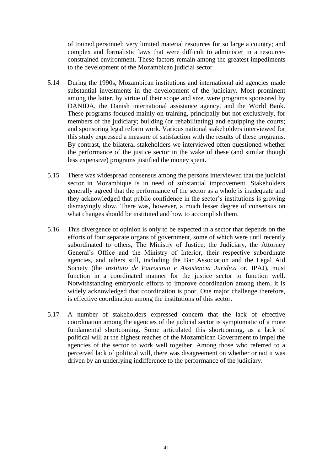of trained personnel; very limited material resources for so large a country; and complex and formalistic laws that were difficult to administer in a resourceconstrained environment. These factors remain among the greatest impediments to the development of the Mozambican judicial sector.

- 5.14 During the 1990s, Mozambican institutions and international aid agencies made substantial investments in the development of the judiciary. Most prominent among the latter, by virtue of their scope and size, were programs sponsored by DANIDA, the Danish international assistance agency, and the World Bank. These programs focused mainly on training, principally but not exclusively, for members of the judiciary; building (or rehabilitating) and equipping the courts; and sponsoring legal reform work. Various national stakeholders interviewed for this study expressed a measure of satisfaction with the results of these programs. By contrast, the bilateral stakeholders we interviewed often questioned whether the performance of the justice sector in the wake of these (and similar though less expensive) programs justified the money spent.
- 5.15 There was widespread consensus among the persons interviewed that the judicial sector in Mozambique is in need of substantial improvement. Stakeholders generally agreed that the performance of the sector as a whole is inadequate and they acknowledged that public confidence in the sector's institutions is growing dismayingly slow. There was, however, a much lesser degree of consensus on what changes should be instituted and how to accomplish them.
- 5.16 This divergence of opinion is only to be expected in a sector that depends on the efforts of four separate organs of government, some of which were until recently subordinated to others, The Ministry of Justice, the Judiciary, the Attorney General's Office and the Ministry of Interior, their respective subordinate agencies, and others still, including the Bar Association and the Legal Aid Society (the *Instituto de Patrocinio e Assistencia Juridica* or, IPAJ), must function in a coordinated manner for the justice sector to function well. Notwithstanding embryonic efforts to improve coordination among them, it is widely acknowledged that coordination is poor. One major challenge therefore, is effective coordination among the institutions of this sector.
- 5.17 A number of stakeholders expressed concern that the lack of effective coordination among the agencies of the judicial sector is symptomatic of a more fundamental shortcoming. Some articulated this shortcoming, as a lack of political will at the highest reaches of the Mozambican Government to impel the agencies of the sector to work well together. Among those who referred to a perceived lack of political will, there was disagreement on whether or not it was driven by an underlying indifference to the performance of the judiciary.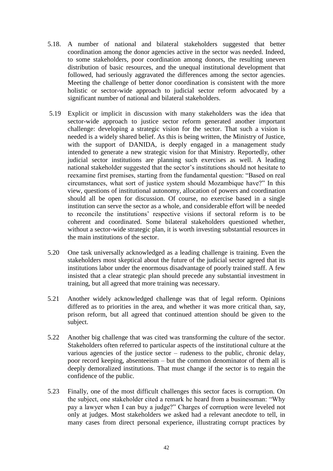- 5.18. A number of national and bilateral stakeholders suggested that better coordination among the donor agencies active in the sector was needed. Indeed, to some stakeholders, poor coordination among donors, the resulting uneven distribution of basic resources, and the unequal institutional development that followed, had seriously aggravated the differences among the sector agencies. Meeting the challenge of better donor coordination is consistent with the more holistic or sector-wide approach to judicial sector reform advocated by a significant number of national and bilateral stakeholders.
- 5.19 Explicit or implicit in discussion with many stakeholders was the idea that sector-wide approach to justice sector reform generated another important challenge: developing a strategic vision for the sector. That such a vision is needed is a widely shared belief. As this is being written, the Ministry of Justice, with the support of DANIDA, is deeply engaged in a management study intended to generate a new strategic vision for that Ministry. Reportedly, other judicial sector institutions are planning such exercises as well. A leading national stakeholder suggested that the sector's institutions should not hesitate to reexamine first premises, starting from the fundamental question: "Based on real circumstances, what sort of justice system should Mozambique have?" In this view, questions of institutional autonomy, allocation of powers and coordination should all be open for discussion. Of course, no exercise based in a single institution can serve the sector as a whole, and considerable effort will be needed to reconcile the institutions' respective visions if sectoral reform is to be coherent and coordinated. Some bilateral stakeholders questioned whether, without a sector-wide strategic plan, it is worth investing substantial resources in the main institutions of the sector.
- 5.20 One task universally acknowledged as a leading challenge is training. Even the stakeholders most skeptical about the future of the judicial sector agreed that its institutions labor under the enormous disadvantage of poorly trained staff. A few insisted that a clear strategic plan should precede any substantial investment in training, but all agreed that more training was necessary.
- 5.21 Another widely acknowledged challenge was that of legal reform. Opinions differed as to priorities in the area, and whether it was more critical than, say, prison reform, but all agreed that continued attention should be given to the subject.
- 5.22 Another big challenge that was cited was transforming the culture of the sector. Stakeholders often referred to particular aspects of the institutional culture at the various agencies of the justice sector – rudeness to the public, chronic delay, poor record keeping, absenteeism – but the common denominator of them all is deeply demoralized institutions. That must change if the sector is to regain the confidence of the public.
- 5.23 Finally, one of the most difficult challenges this sector faces is corruption. On the subject, one stakeholder cited a remark he heard from a businessman: "Why pay a lawyer when I can buy a judge?" Charges of corruption were leveled not only at judges. Most stakeholders we asked had a relevant anecdote to tell, in many cases from direct personal experience, illustrating corrupt practices by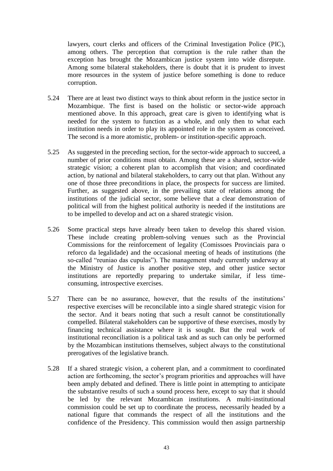lawyers, court clerks and officers of the Criminal Investigation Police (PIC), among others. The perception that corruption is the rule rather than the exception has brought the Mozambican justice system into wide disrepute. Among some bilateral stakeholders, there is doubt that it is prudent to invest more resources in the system of justice before something is done to reduce corruption.

- 5.24 There are at least two distinct ways to think about reform in the justice sector in Mozambique. The first is based on the holistic or sector-wide approach mentioned above. In this approach, great care is given to identifying what is needed for the system to function as a whole, and only then to what each institution needs in order to play its appointed role in the system as conceived. The second is a more atomistic, problem- or institution-specific approach.
- 5.25 As suggested in the preceding section, for the sector-wide approach to succeed, a number of prior conditions must obtain. Among these are a shared, sector-wide strategic vision; a coherent plan to accomplish that vision; and coordinated action, by national and bilateral stakeholders, to carry out that plan. Without any one of those three preconditions in place, the prospects for success are limited. Further, as suggested above, in the prevailing state of relations among the institutions of the judicial sector, some believe that a clear demonstration of political will from the highest political authority is needed if the institutions are to be impelled to develop and act on a shared strategic vision.
- 5.26 Some practical steps have already been taken to develop this shared vision. These include creating problem-solving venues such as the Provincial Commissions for the reinforcement of legality (Comissoes Provinciais para o reforco da legalidade) and the occasional meeting of heads of institutions (the so-called "reuniao das cupulas"). The management study currently underway at the Ministry of Justice is another positive step, and other justice sector institutions are reportedly preparing to undertake similar, if less timeconsuming, introspective exercises.
- 5.27 There can be no assurance, however, that the results of the institutions' respective exercises will be reconcilable into a single shared strategic vision for the sector. And it bears noting that such a result cannot be constitutionally compelled. Bilateral stakeholders can be supportive of these exercises, mostly by financing technical assistance where it is sought. But the real work of institutional reconciliation is a political task and as such can only be performed by the Mozambican institutions themselves, subject always to the constitutional prerogatives of the legislative branch.
- 5.28 If a shared strategic vision, a coherent plan, and a commitment to coordinated action are forthcoming, the sector's program priorities and approaches will have been amply debated and defined. There is little point in attempting to anticipate the substantive results of such a sound process here, except to say that it should be led by the relevant Mozambican institutions. A multi-institutional commission could be set up to coordinate the process, necessarily headed by a national figure that commands the respect of all the institutions and the confidence of the Presidency. This commission would then assign partnership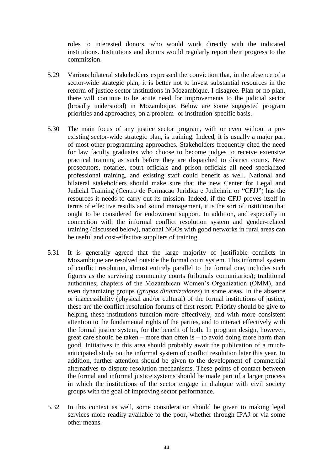roles to interested donors, who would work directly with the indicated institutions. Institutions and donors would regularly report their progress to the commission.

- 5.29 Various bilateral stakeholders expressed the conviction that, in the absence of a sector-wide strategic plan, it is better not to invest substantial resources in the reform of justice sector institutions in Mozambique. I disagree. Plan or no plan, there will continue to be acute need for improvements to the judicial sector (broadly understood) in Mozambique. Below are some suggested program priorities and approaches, on a problem- or institution-specific basis.
- 5.30 The main focus of any justice sector program, with or even without a preexisting sector-wide strategic plan, is training. Indeed, it is usually a major part of most other programming approaches. Stakeholders frequently cited the need for law faculty graduates who choose to become judges to receive extensive practical training as such before they are dispatched to district courts. New prosecutors, notaries, court officials and prison officials all need specialized professional training, and existing staff could benefit as well. National and bilateral stakeholders should make sure that the new Center for Legal and Judicial Training (Centro de Formacao Juridica e Judiciaria or "CFJJ") has the resources it needs to carry out its mission. Indeed, if the CFJJ proves itself in terms of effective results and sound management, it is the sort of institution that ought to be considered for endowment support. In addition, and especially in connection with the informal conflict resolution system and gender-related training (discussed below), national NGOs with good networks in rural areas can be useful and cost-effective suppliers of training.
- 5.31 It is generally agreed that the large majority of justifiable conflicts in Mozambique are resolved outside the formal court system. This informal system of conflict resolution, almost entirely parallel to the formal one, includes such figures as the surviving community courts (tribunals comunitarios); traditional authorities; chapters of the Mozambican Women's Organization (OMM), and even dynamizing groups (*grupos dinamizadores*) in some areas. In the absence or inaccessibility (physical and/or cultural) of the formal institutions of justice, these are the conflict resolution forums of first resort. Priority should be give to helping these institutions function more effectively, and with more consistent attention to the fundamental rights of the parties, and to interact effectively with the formal justice system, for the benefit of both. In program design, however, great care should be taken – more than often is – to avoid doing more harm than good. Initiatives in this area should probably await the publication of a muchanticipated study on the informal system of conflict resolution later this year. In addition, further attention should be given to the development of commercial alternatives to dispute resolution mechanisms. These points of contact between the formal and informal justice systems should be made part of a larger process in which the institutions of the sector engage in dialogue with civil society groups with the goal of improving sector performance.
- 5.32 In this context as well, some consideration should be given to making legal services more readily available to the poor, whether through IPAJ or via some other means.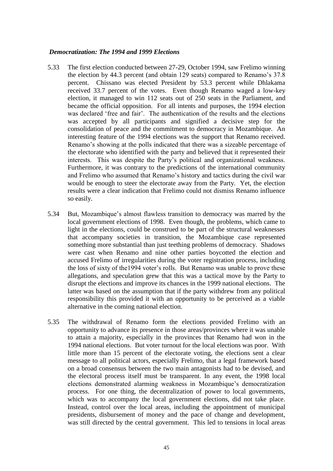#### *Democratization: The 1994 and 1999 Elections*

- 5.33 The first election conducted between 27-29, October 1994, saw Frelimo winning the election by 44.3 percent (and obtain 129 seats) compared to Renamo's 37.8 percent. Chissano was elected President by 53.3 percent while Dhlakama received 33.7 percent of the votes. Even though Renamo waged a low-key election, it managed to win 112 seats out of 250 seats in the Parliament, and became the official opposition. For all intents and purposes, the 1994 election was declared 'free and fair'. The authentication of the results and the elections was accepted by all participants and signified a decisive step for the consolidation of peace and the commitment to democracy in Mozambique. An interesting feature of the 1994 elections was the support that Renamo received. Renamo's showing at the polls indicated that there was a sizeable percentage of the electorate who identified with the party and believed that it represented their interests. This was despite the Party's political and organizational weakness. Furthermore, it was contrary to the predictions of the international community and Frelimo who assumed that Renamo's history and tactics during the civil war would be enough to steer the electorate away from the Party. Yet, the election results were a clear indication that Frelimo could not dismiss Renamo influence so easily.
- 5.34 But, Mozambique's almost flawless transition to democracy was marred by the local government elections of 1998. Even though, the problems, which came to light in the elections, could be construed to be part of the structural weaknesses that accompany societies in transition, the Mozambique case represented something more substantial than just teething problems of democracy. Shadows were cast when Renamo and nine other parties boycotted the election and accused Frelimo of irregularities during the voter registration process, including the loss of sixty of the1994 voter's rolls. But Renamo was unable to prove these allegations, and speculation grew that this was a tactical move by the Party to disrupt the elections and improve its chances in the 1999 national elections. The latter was based on the assumption that if the party withdrew from any political responsibility this provided it with an opportunity to be perceived as a viable alternative in the coming national election.
- 5.35 The withdrawal of Renamo form the elections provided Frelimo with an opportunity to advance its presence in those areas/provinces where it was unable to attain a majority, especially in the provinces that Renamo had won in the 1994 national elections. But voter turnout for the local elections was poor. With little more than 15 percent of the electorate voting, the elections sent a clear message to all political actors, especially Frelimo, that a legal framework based on a broad consensus between the two main antagonists had to be devised, and the electoral process itself must be transparent. In any event, the 1998 local elections demonstrated alarming weakness in Mozambique's democratization process. For one thing, the decentralization of power to local governments, which was to accompany the local government elections, did not take place. Instead, control over the local areas, including the appointment of municipal presidents, disbursement of money and the pace of change and development, was still directed by the central government. This led to tensions in local areas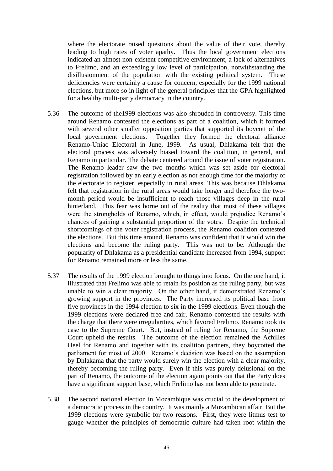where the electorate raised questions about the value of their vote, thereby leading to high rates of voter apathy. Thus the local government elections indicated an almost non-existent competitive environment, a lack of alternatives to Frelimo, and an exceedingly low level of participation, notwithstanding the disillusionment of the population with the existing political system. These deficiencies were certainly a cause for concern, especially for the 1999 national elections, but more so in light of the general principles that the GPA highlighted for a healthy multi-party democracy in the country.

- 5.36 The outcome of the1999 elections was also shrouded in controversy. This time around Renamo contested the elections as part of a coalition, which it formed with several other smaller opposition parties that supported its boycott of the local government elections. Together they formed the electoral alliance Renamo-Uniao Electoral in June, 1999. As usual, Dhlakama felt that the electoral process was adversely biased toward the coalition, in general, and Renamo in particular. The debate centered around the issue of voter registration. The Renamo leader saw the two months which was set aside for electoral registration followed by an early election as not enough time for the majority of the electorate to register, especially in rural areas. This was because Dhlakama felt that registration in the rural areas would take longer and therefore the twomonth period would be insufficient to reach those villages deep in the rural hinterland. This fear was borne out of the reality that most of these villages were the strongholds of Renamo, which, in effect, would prejudice Renamo's chances of gaining a substantial proportion of the votes. Despite the technical shortcomings of the voter registration process, the Renamo coalition contested the elections. But this time around, Renamo was confident that it would win the elections and become the ruling party. This was not to be. Although the popularity of Dhlakama as a presidential candidate increased from 1994, support for Renamo remained more or less the same.
- 5.37 The results of the 1999 election brought to things into focus. On the one hand, it illustrated that Frelimo was able to retain its position as the ruling party, but was unable to win a clear majority. On the other hand, it demonstrated Renamo's growing support in the provinces. The Party increased its political base from five provinces in the 1994 election to six in the 1999 elections. Even though the 1999 elections were declared free and fair, Renamo contested the results with the charge that there were irregularities, which favored Frelimo. Renamo took its case to the Supreme Court. But, instead of ruling for Renamo, the Supreme Court upheld the results. The outcome of the election remained the Achilles Heel for Renamo and together with its coalition partners, they boycotted the parliament for most of 2000. Renamo's decision was based on the assumption by Dhlakama that the party would surely win the election with a clear majority, thereby becoming the ruling party. Even if this was purely delusional on the part of Renamo, the outcome of the election again points out that the Party does have a significant support base, which Frelimo has not been able to penetrate.
- 5.38 The second national election in Mozambique was crucial to the development of a democratic process in the country. It was mainly a Mozambican affair. But the 1999 elections were symbolic for two reasons. First, they were litmus test to gauge whether the principles of democratic culture had taken root within the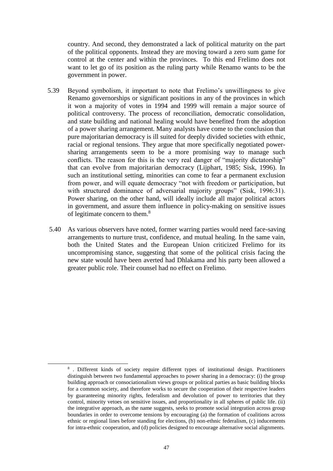country. And second, they demonstrated a lack of political maturity on the part of the political opponents. Instead they are moving toward a zero sum game for control at the center and within the provinces. To this end Frelimo does not want to let go of its position as the ruling party while Renamo wants to be the government in power.

- 5.39 Beyond symbolism, it important to note that Frelimo's unwillingness to give Renamo governorships or significant positions in any of the provinces in which it won a majority of votes in 1994 and 1999 will remain a major source of political controversy. The process of reconciliation, democratic consolidation, and state building and national healing would have benefited from the adoption of a power sharing arrangement. Many analysts have come to the conclusion that pure majoritarian democracy is ill suited for deeply divided societies with ethnic, racial or regional tensions. They argue that more specifically negotiated powersharing arrangements seem to be a more promising way to manage such conflicts. The reason for this is the very real danger of "majority dictatorship" that can evolve from majoritarian democracy (Lijphart, 1985; Sisk, 1996). In such an institutional setting, minorities can come to fear a permanent exclusion from power, and will equate democracy "not with freedom or participation, but with structured dominance of adversarial majority groups" (Sisk, 1996:31). Power sharing, on the other hand, will ideally include all major political actors in government, and assure them influence in policy-making on sensitive issues of legitimate concern to them.<sup>8</sup>
- 5.40 As various observers have noted, former warring parties would need face-saving arrangements to nurture trust, confidence, and mutual healing. In the same vain, both the United States and the European Union criticized Frelimo for its uncompromising stance, suggesting that some of the political crisis facing the new state would have been averted had Dhlakama and his party been allowed a greater public role. Their counsel had no effect on Frelimo.

1

<sup>8</sup> . Different kinds of society require different types of institutional design. Practitioners distinguish between two fundamental approaches to power sharing in a democracy: (i) the group building approach or consociationalism views groups or political parties as basic building blocks for a common society, and therefore works to secure the cooperation of their respective leaders by guaranteeing minority rights, federalism and devolution of power to territories that they control, minority vetoes on sensitive issues, and proportionality in all spheres of public life. (ii) the integrative approach, as the name suggests, seeks to promote social integration across group boundaries in order to overcome tensions by encouraging (a) the formation of coalitions across ethnic or regional lines before standing for elections, (b) non-ethnic federalism, (c) inducements for intra-ethnic cooperation, and (d) policies designed to encourage alternative social alignments.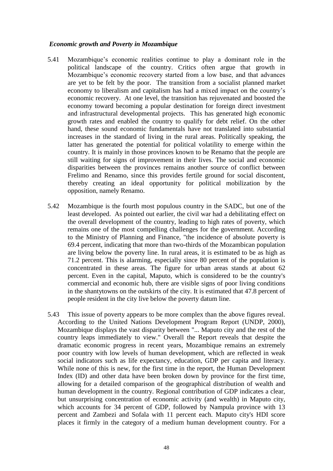#### *Economic growth and Poverty in Mozambique*

- 5.41 Mozambique's economic realities continue to play a dominant role in the political landscape of the country. Critics often argue that growth in Mozambique's economic recovery started from a low base, and that advances are yet to be felt by the poor. The transition from a socialist planned market economy to liberalism and capitalism has had a mixed impact on the country's economic recovery. At one level, the transition has rejuvenated and boosted the economy toward becoming a popular destination for foreign direct investment and infrastructural developmental projects. This has generated high economic growth rates and enabled the country to qualify for debt relief. On the other hand, these sound economic fundamentals have not translated into substantial increases in the standard of living in the rural areas. Politically speaking, the latter has generated the potential for political volatility to emerge within the country. It is mainly in those provinces known to be Renamo that the people are still waiting for signs of improvement in their lives. The social and economic disparities between the provinces remains another source of conflict between Frelimo and Renamo, since this provides fertile ground for social discontent, thereby creating an ideal opportunity for political mobilization by the opposition, namely Renamo.
- 5.42 Mozambique is the fourth most populous country in the SADC, but one of the least developed. As pointed out earlier, the civil war had a debilitating effect on the overall development of the country, leading to high rates of poverty, which remains one of the most compelling challenges for the government. According to the Ministry of Planning and Finance, "the incidence of absolute poverty is 69.4 percent, indicating that more than two-thirds of the Mozambican population are living below the poverty line. In rural areas, it is estimated to be as high as 71.2 percent. This is alarming, especially since 80 percent of the population is concentrated in these areas. The figure for urban areas stands at about 62 percent. Even in the capital, Maputo, which is considered to be the country's commercial and economic hub, there are visible signs of poor living conditions in the shantytowns on the outskirts of the city. It is estimated that 47.8 percent of people resident in the city live below the poverty datum line.
- 5.43 This issue of poverty appears to be more complex than the above figures reveal. According to the United Nations Development Program Report (UNDP, 2000), Mozambique displays the vast disparity between "... Maputo city and the rest of the country leaps immediately to view." Overall the Report reveals that despite the dramatic economic progress in recent years, Mozambique remains an extremely poor country with low levels of human development, which are reflected in weak social indicators such as life expectancy, education, GDP per capita and literacy. While none of this is new, for the first time in the report, the Human Development Index (ID) and other data have been broken down by province for the first time, allowing for a detailed comparison of the geographical distribution of wealth and human development in the country. Regional contribution of GDP indicates a clear, but unsurprising concentration of economic activity (and wealth) in Maputo city, which accounts for 34 percent of GDP, followed by Nampula province with 13 percent and Zambezi and Sofala with 11 percent each. Maputo city's HDI score places it firmly in the category of a medium human development country. For a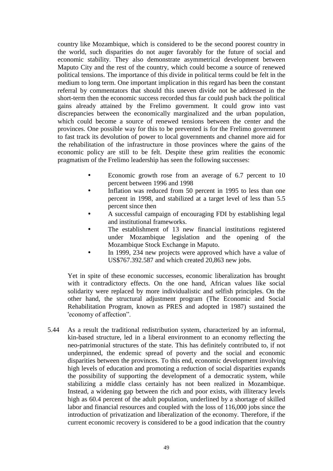country like Mozambique, which is considered to be the second poorest country in the world, such disparities do not auger favorably for the future of social and economic stability. They also demonstrate asymmetrical development between Maputo City and the rest of the country, which could become a source of renewed political tensions. The importance of this divide in political terms could be felt in the medium to long term. One important implication in this regard has been the constant referral by commentators that should this uneven divide not be addressed in the short-term then the economic success recorded thus far could push back the political gains already attained by the Frelimo government. It could grow into vast discrepancies between the economically marginalized and the urban population, which could become a source of renewed tensions between the center and the provinces. One possible way for this to be prevented is for the Frelimo government to fast track its devolution of power to local governments and channel more aid for the rehabilitation of the infrastructure in those provinces where the gains of the economic policy are still to be felt. Despite these grim realities the economic pragmatism of the Frelimo leadership has seen the following successes:

- Economic growth rose from an average of 6.7 percent to 10 percent between 1996 and 1998
- Inflation was reduced from 50 percent in 1995 to less than one percent in 1998, and stabilized at a target level of less than 5.5 percent since then
- A successful campaign of encouraging FDI by establishing legal and institutional frameworks.
- The establishment of 13 new financial institutions registered under Mozambique legislation and the opening of the Mozambique Stock Exchange in Maputo.
- In 1999, 234 new projects were approved which have a value of US\$767.392.587 and which created 20,863 new jobs.

Yet in spite of these economic successes, economic liberalization has brought with it contradictory effects. On the one hand, African values like social solidarity were replaced by more individualistic and selfish principles. On the other hand, the structural adjustment program (The Economic and Social Rehabilitation Program, known as PRES and adopted in 1987) sustained the 'economy of affection".

5.44 As a result the traditional redistribution system, characterized by an informal, kin-based structure, led in a liberal environment to an economy reflecting the neo-patrimonial structures of the state. This has definitely contributed to, if not underpinned, the endemic spread of poverty and the social and economic disparities between the provinces. To this end, economic development involving high levels of education and promoting a reduction of social disparities expands the possibility of supporting the development of a democratic system, while stabilizing a middle class certainly has not been realized in Mozambique. Instead, a widening gap between the rich and poor exists, with illiteracy levels high as 60.4 percent of the adult population, underlined by a shortage of skilled labor and financial resources and coupled with the loss of 116,000 jobs since the introduction of privatization and liberalization of the economy. Therefore, if the current economic recovery is considered to be a good indication that the country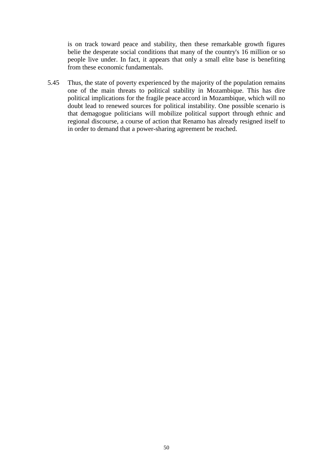is on track toward peace and stability, then these remarkable growth figures belie the desperate social conditions that many of the country's 16 million or so people live under. In fact, it appears that only a small elite base is benefiting from these economic fundamentals.

5.45 Thus, the state of poverty experienced by the majority of the population remains one of the main threats to political stability in Mozambique. This has dire political implications for the fragile peace accord in Mozambique, which will no doubt lead to renewed sources for political instability. One possible scenario is that demagogue politicians will mobilize political support through ethnic and regional discourse, a course of action that Renamo has already resigned itself to in order to demand that a power-sharing agreement be reached.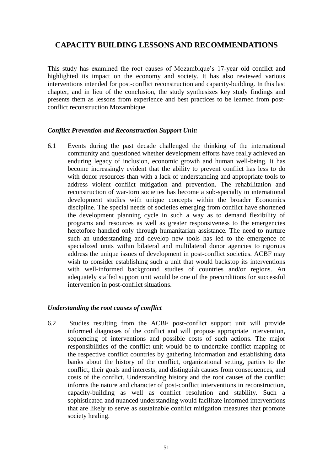# **CAPACITY BUILDING LESSONS AND RECOMMENDATIONS**

This study has examined the root causes of Mozambique's 17-year old conflict and highlighted its impact on the economy and society. It has also reviewed various interventions intended for post-conflict reconstruction and capacity-building. In this last chapter, and in lieu of the conclusion, the study synthesizes key study findings and presents them as lessons from experience and best practices to be learned from postconflict reconstruction Mozambique.

#### *Conflict Prevention and Reconstruction Support Unit:*

6.1 Events during the past decade challenged the thinking of the international community and questioned whether development efforts have really achieved an enduring legacy of inclusion, economic growth and human well-being. It has become increasingly evident that the ability to prevent conflict has less to do with donor resources than with a lack of understanding and appropriate tools to address violent conflict mitigation and prevention. The rehabilitation and reconstruction of war-torn societies has become a sub-specialty in international development studies with unique concepts within the broader Economics discipline. The special needs of societies emerging from conflict have shortened the development planning cycle in such a way as to demand flexibility of programs and resources as well as greater responsiveness to the emergencies heretofore handled only through humanitarian assistance. The need to nurture such an understanding and develop new tools has led to the emergence of specialized units within bilateral and multilateral donor agencies to rigorous address the unique issues of development in post-conflict societies. ACBF may wish to consider establishing such a unit that would backstop its interventions with well-informed background studies of countries and/or regions. An adequately staffed support unit would be one of the preconditions for successful intervention in post-conflict situations.

# *Understanding the root causes of conflict*

6.2 Studies resulting from the ACBF post-conflict support unit will provide informed diagnoses of the conflict and will propose appropriate intervention, sequencing of interventions and possible costs of such actions. The major responsibilities of the conflict unit would be to undertake conflict mapping of the respective conflict countries by gathering information and establishing data banks about the history of the conflict, organizational setting, parties to the conflict, their goals and interests, and distinguish causes from consequences, and costs of the conflict. Understanding history and the root causes of the conflict informs the nature and character of post-conflict interventions in reconstruction, capacity-building as well as conflict resolution and stability. Such a sophisticated and nuanced understanding would facilitate informed interventions that are likely to serve as sustainable conflict mitigation measures that promote society healing.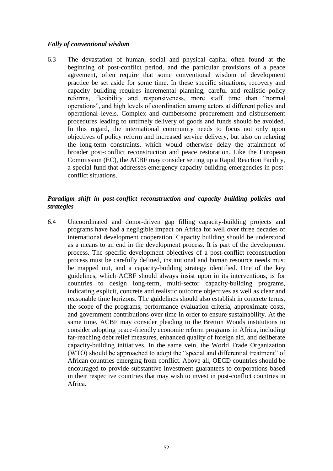### *Folly of conventional wisdom*

6.3 The devastation of human, social and physical capital often found at the beginning of post-conflict period, and the particular provisions of a peace agreement, often require that some conventional wisdom of development practice be set aside for some time. In these specific situations, recovery and capacity building requires incremental planning, careful and realistic policy reforms, flexibility and responsiveness, more staff time than "normal operations", and high levels of coordination among actors at different policy and operational levels. Complex and cumbersome procurement and disbursement procedures leading to untimely delivery of goods and funds should be avoided. In this regard, the international community needs to focus not only upon objectives of policy reform and increased service delivery, but also on relaxing the long-term constraints, which would otherwise delay the attainment of broader post-conflict reconstruction and peace restoration. Like the European Commission (EC), the ACBF may consider setting up a Rapid Reaction Facility, a special fund that addresses emergency capacity-building emergencies in postconflict situations.

## *Paradigm shift in post-conflict reconstruction and capacity building policies and strategies*

6.4 Uncoordinated and donor-driven gap filling capacity-building projects and programs have had a negligible impact on Africa for well over three decades of international development cooperation. Capacity building should be understood as a means to an end in the development process. It is part of the development process. The specific development objectives of a post-conflict reconstruction process must be carefully defined, institutional and human resource needs must be mapped out, and a capacity-building strategy identified. One of the key guidelines, which ACBF should always insist upon in its interventions, is for countries to design long-term, multi-sector capacity-building programs, indicating explicit, concrete and realistic outcome objectives as well as clear and reasonable time horizons. The guidelines should also establish in concrete terms, the scope of the programs, performance evaluation criteria, approximate costs, and government contributions over time in order to ensure sustainability. At the same time, ACBF may consider pleading to the Bretton Woods institutions to consider adopting peace-friendly economic reform programs in Africa, including far-reaching debt relief measures, enhanced quality of foreign aid, and deliberate capacity-building initiatives. In the same vein, the World Trade Organization (WTO) should be approached to adopt the "special and differential treatment" of African countries emerging from conflict. Above all, OECD countries should be encouraged to provide substantive investment guarantees to corporations based in their respective countries that may wish to invest in post-conflict countries in Africa.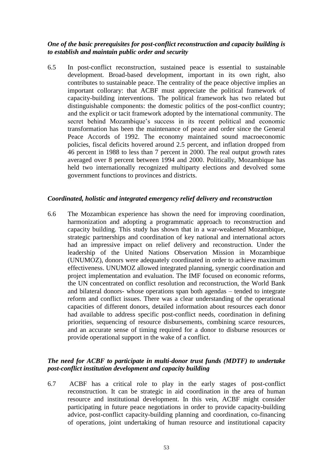## *One of the basic prerequisites for post-conflict reconstruction and capacity building is to establish and maintain public order and security*

6.5 In post-conflict reconstruction, sustained peace is essential to sustainable development. Broad-based development, important in its own right, also contributes to sustainable peace. The centrality of the peace objective implies an important collorary: that ACBF must appreciate the political framework of capacity-building interventions. The political framework has two related but distinguishable components: the domestic politics of the post-conflict country; and the explicit or tacit framework adopted by the international community. The secret behind Mozambique's success in its recent political and economic transformation has been the maintenance of peace and order since the General Peace Accords of 1992. The economy maintained sound macroeconomic policies, fiscal deficits hovered around 2.5 percent, and inflation dropped from 46 percent in 1988 to less than 7 percent in 2000. The real output growth rates averaged over 8 percent between 1994 and 2000. Politically, Mozambique has held two internationally recognized multiparty elections and devolved some government functions to provinces and districts.

#### *Coordinated, holistic and integrated emergency relief delivery and reconstruction*

6.6 The Mozambican experience has shown the need for improving coordination, harmonization and adopting a programmatic approach to reconstruction and capacity building. This study has shown that in a war-weakened Mozambique, strategic partnerships and coordination of key national and international actors had an impressive impact on relief delivery and reconstruction. Under the leadership of the United Nations Observation Mission in Mozambique (UNUMOZ), donors were adequately coordinated in order to achieve maximum effectiveness. UNUMOZ allowed integrated planning, synergic coordination and project implementation and evaluation. The IMF focused on economic reforms, the UN concentrated on conflict resolution and reconstruction, the World Bank and bilateral donors- whose operations span both agendas – tended to integrate reform and conflict issues. There was a clear understanding of the operational capacities of different donors, detailed information about resources each donor had available to address specific post-conflict needs, coordination in defining priorities, sequencing of resource disbursements, combining scarce resources, and an accurate sense of timing required for a donor to disburse resources or provide operational support in the wake of a conflict.

# *The need for ACBF to participate in multi-donor trust funds (MDTF) to undertake post-conflict institution development and capacity building*

6.7 ACBF has a critical role to play in the early stages of post-conflict reconstruction. It can be strategic in aid coordination in the area of human resource and institutional development. In this vein, ACBF might consider participating in future peace negotiations in order to provide capacity-building advice, post-conflict capacity-building planning and coordination, co-financing of operations, joint undertaking of human resource and institutional capacity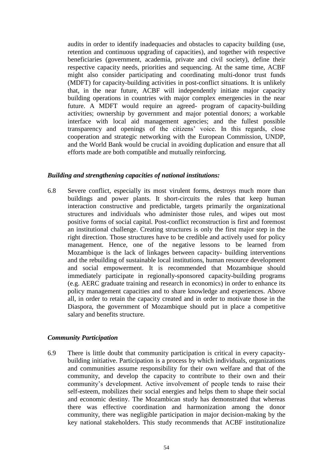audits in order to identify inadequacies and obstacles to capacity building (use, retention and continuous upgrading of capacities), and together with respective beneficiaries (government, academia, private and civil society), define their respective capacity needs, priorities and sequencing. At the same time, ACBF might also consider participating and coordinating multi-donor trust funds (MDFT) for capacity-building activities in post-conflict situations. It is unlikely that, in the near future, ACBF will independently initiate major capacity building operations in countries with major complex emergencies in the near future. A MDFT would require an agreed- program of capacity-building activities; ownership by government and major potential donors; a workable interface with local aid management agencies; and the fullest possible transparency and openings of the citizens' voice. In this regards, close cooperation and strategic networking with the European Commission, UNDP, and the World Bank would be crucial in avoiding duplication and ensure that all efforts made are both compatible and mutually reinforcing.

#### *Building and strengthening capacities of national institutions:*

6.8 Severe conflict, especially its most virulent forms, destroys much more than buildings and power plants. It short-circuits the rules that keep human interaction constructive and predictable, targets primarily the organizational structures and individuals who administer those rules, and wipes out most positive forms of social capital. Post-conflict reconstruction is first and foremost an institutional challenge. Creating structures is only the first major step in the right direction. Those structures have to be credible and actively used for policy management. Hence, one of the negative lessons to be learned from Mozambique is the lack of linkages between capacity- building interventions and the rebuilding of sustainable local institutions, human resource development and social empowerment. It is recommended that Mozambique should immediately participate in regionally-sponsored capacity-building programs (e.g. AERC graduate training and research in economics) in order to enhance its policy management capacities and to share knowledge and experiences. Above all, in order to retain the capacity created and in order to motivate those in the Diaspora, the government of Mozambique should put in place a competitive salary and benefits structure.

#### *Community Participation*

6.9 There is little doubt that community participation is critical in every capacitybuilding initiative. Participation is a process by which individuals, organizations and communities assume responsibility for their own welfare and that of the community, and develop the capacity to contribute to their own and their community's development. Active involvement of people tends to raise their self-esteem, mobilizes their social energies and helps them to shape their social and economic destiny. The Mozambican study has demonstrated that whereas there was effective coordination and harmonization among the donor community, there was negligible participation in major decision-making by the key national stakeholders. This study recommends that ACBF institutionalize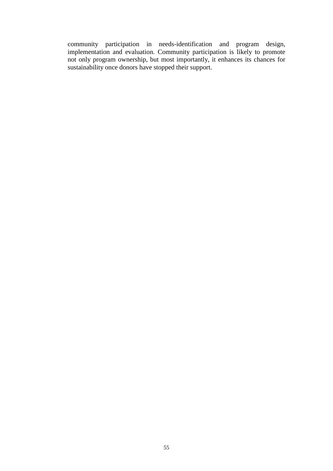community participation in needs-identification and program design, implementation and evaluation. Community participation is likely to promote not only program ownership, but most importantly, it enhances its chances for sustainability once donors have stopped their support.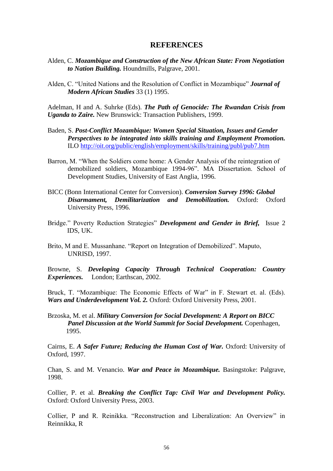#### **REFERENCES**

- Alden, C. *Mozambique and Construction of the New African State: From Negotiation to Nation Building.* Houndmills, Palgrave, 2001.
- Alden, C. "United Nations and the Resolution of Conflict in Mozambique" *Journal of Modern African Studies* 33 (1) 1995.

Adelman, H and A. Suhrke (Eds). *The Path of Genocide: The Rwandan Crisis from Uganda to Zaire.* New Brunswick: Transaction Publishers, 1999.

- Baden, S. *Post-Conflict Mozambique: Women Special Situation, Issues and Gender Perspectives to be integrated into skills training and Employment Promotion.* ILO<http://oit.org/public/english/employment/skills/training/publ/pub7.htm>
- Barron, M. "When the Soldiers come home: A Gender Analysis of the reintegration of demobilized soldiers, Mozambique 1994-96". MA Dissertation. School of Development Studies, University of East Anglia, 1996.
- BICC (Bonn International Center for Conversion). *Conversion Survey 1996: Global Disarmament, Demilitarization and Demobilization.* Oxford: Oxford University Press, 1996.
- Bridge." Poverty Reduction Strategies" *Development and Gender in Brief,* Issue 2 IDS, UK.
- Brito, M and E. Mussanhane. "Report on Integration of Demobilized". Maputo, UNRISD, 1997.

Browne, S. *Developing Capacity Through Technical Cooperation: Country Experiences.* London; Earthscan, 2002.

Bruck, T. "Mozambique: The Economic Effects of War" in F. Stewart et. al. (Eds). *Wars and Underdevelopment Vol. 2.* Oxford: Oxford University Press, 2001.

Brzoska, M. et al. *Military Conversion for Social Development: A Report on BICC Panel Discussion at the World Summit for Social Development.* Copenhagen, 1995.

Cairns, E. *A Safer Future; Reducing the Human Cost of War.* Oxford: University of Oxford, 1997.

Chan, S. and M. Venancio. *War and Peace in Mozambique.* Basingstoke: Palgrave, 1998.

Collier, P. et al. *Breaking the Conflict Tap: Civil War and Development Policy.* Oxford: Oxford University Press, 2003.

Collier, P and R. Reinikka. "Reconstruction and Liberalization: An Overview" in Reinnikka, R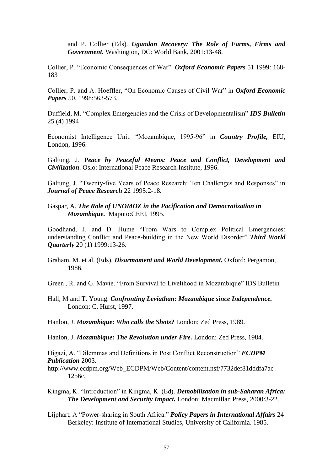and P. Collier (Eds). *Ugandan Recovery: The Role of Farms, Firms and Government.* Washington, DC: World Bank, 2001:13-48.

Collier, P. "Economic Consequences of War". *Oxford Economic Papers* 51 1999: 168- 183

Collier, P. and A. Hoeffler, "On Economic Causes of Civil War" in *Oxford Economic Papers* 50, 1998:563-573.

Duffield, M. "Complex Emergencies and the Crisis of Developmentalism" *IDS Bulletin* 25 (4) 1994

Economist Intelligence Unit. "Mozambique, 1995-96" in *Country Profile,* EIU, London, 1996.

Galtung, J. *Peace by Peaceful Means: Peace and Conflict, Development and Civilization*. Oslo: International Peace Research Institute, 1996.

Galtung, J. "Twenty-five Years of Peace Research: Ten Challenges and Responses" in *Journal of Peace Research* 22 1995:2-18.

Gaspar, A. *The Role of UNOMOZ in the Pacification and Democratization in Mozambique.* Maputo:CEEI, 1995.

Goodhand, J. and D. Hume "From Wars to Complex Political Emergencies: understanding Conflict and Peace-building in the New World Disorder" *Third World Quarterly* 20 (1) 1999:13-26.

Graham, M. et al. (Eds). *Disarmament and World Development.* Oxford: Pergamon, 1986.

Green , R. and G. Mavie. "From Survival to Livelihood in Mozambique" IDS Bulletin

Hall, M and T. Young. *Confronting Leviathan: Mozambique since Independence.* London: C. Hurst, 1997.

Hanlon, J. *Mozambique: Who calls the Shots?* London: Zed Press, 1989.

Hanlon, J. *Mozambique: The Revolution under Fire.* London: Zed Press, 1984.

Higazi, A. "Dilemmas and Definitions in Post Conflict Reconstruction" *ECDPM Publication* 2003.

http://www.ecdpm.org/Web\_ECDPM/Web/Content/content.nsf/7732def81dddfa7ac 1256c.

- Kingma, K. "Introduction" in Kingma, K. (Ed). *Demobilization in sub-Saharan Africa: The Development and Security Impact.* London: Macmillan Press, 2000:3-22.
- Lijphart, A "Power-sharing in South Africa." *Policy Papers in International Affairs* 24 Berkeley: Institute of International Studies, University of California. 1985.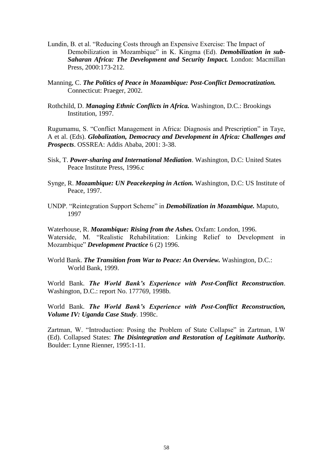- Lundin, B. et al. "Reducing Costs through an Expensive Exercise: The Impact of Demobilization in Mozambique" in K. Kingma (Ed). *Demobilization in sub-Saharan Africa: The Development and Security Impact.* London: Macmillan Press, 2000:173-212.
- Manning, C. *The Politics of Peace in Mozambique: Post-Conflict Democratization.* Connecticut: Praeger, 2002.
- Rothchild, D. *Managing Ethnic Conflicts in Africa.* Washington, D.C.: Brookings Institution, 1997.

Rugumamu, S. "Conflict Management in Africa: Diagnosis and Prescription" in Taye, A et al. (Eds). *Globalization, Democracy and Development in Africa: Challenges and Prospects*. OSSREA: Addis Ababa, 2001: 3-38.

- Sisk, T. *Power-sharing and International Mediation*. Washington, D.C: United States Peace Institute Press, 1996.c
- Synge, R. *Mozambique: UN Peacekeeping in Action.* Washington, D.C: US Institute of Peace, 1997.
- UNDP. "Reintegration Support Scheme" in *Demobilization in Mozambique.* Maputo, 1997

Waterhouse, R. *Mozambique: Rising from the Ashes.* Oxfam: London, 1996. Waterside, M. "Realistic Rehabilitation: Linking Relief to Development in Mozambique" *Development Practice* 6 (2) 1996.

World Bank. *The Transition from War to Peace: An Overview.* Washington, D.C.: World Bank, 1999.

World Bank. *The World Bank's Experience with Post-Conflict Reconstruction*. Washington, D.C.: report No. 177769, 1998b.

World Bank. *The World Bank's Experience with Post-Conflict Reconstruction, Volume IV: Uganda Case Study*. 1998c.

Zartman, W. "Introduction: Posing the Problem of State Collapse" in Zartman, I.W (Ed). Collapsed States: *The Disintegration and Restoration of Legitimate Authority.* Boulder: Lynne Rienner, 1995:1-11.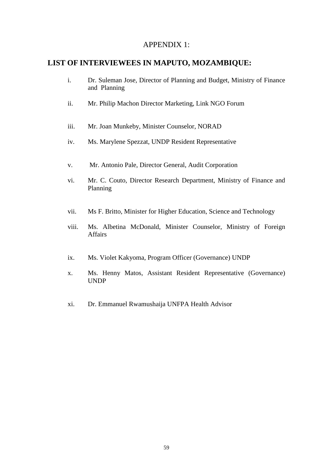# APPENDIX 1:

# **LIST OF INTERVIEWEES IN MAPUTO, MOZAMBIQUE:**

- i. Dr. Suleman Jose, Director of Planning and Budget, Ministry of Finance and Planning
- ii. Mr. Philip Machon Director Marketing, Link NGO Forum
- iii. Mr. Joan Munkeby, Minister Counselor, NORAD
- iv. Ms. Marylene Spezzat, UNDP Resident Representative
- v. Mr. Antonio Pale, Director General, Audit Corporation
- vi. Mr. C. Couto, Director Research Department, Ministry of Finance and Planning
- vii. Ms F. Britto, Minister for Higher Education, Science and Technology
- viii. Ms. Albetina McDonald, Minister Counselor, Ministry of Foreign **Affairs**
- ix. Ms. Violet Kakyoma, Program Officer (Governance) UNDP
- x. Ms. Henny Matos, Assistant Resident Representative (Governance) UNDP
- xi. Dr. Emmanuel Rwamushaija UNFPA Health Advisor